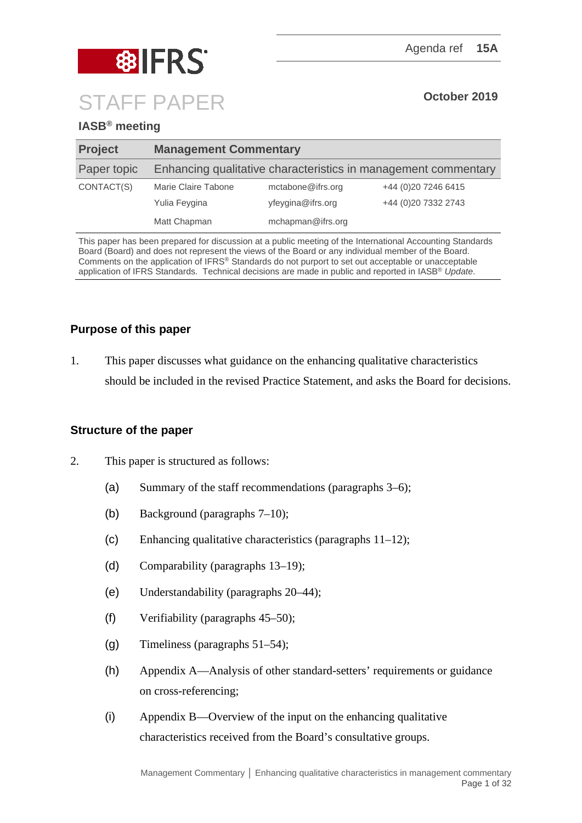

# **IASB® meeting**

| <b>Project</b> | <b>Management Commentary</b>                                   |                   |                     |
|----------------|----------------------------------------------------------------|-------------------|---------------------|
| Paper topic    | Enhancing qualitative characteristics in management commentary |                   |                     |
| CONTACT(S)     | Marie Claire Tabone                                            | mctabone@ifrs.org | +44 (0)20 7246 6415 |
|                | Yulia Feygina                                                  | yfeygina@ifrs.org | +44 (0)20 7332 2743 |
|                | Matt Chapman                                                   | mchapman@ifrs.org |                     |

This paper has been prepared for discussion at a public meeting of the International Accounting Standards Board (Board) and does not represent the views of the Board or any individual member of the Board. Comments on the application of IFRS® Standards do not purport to set out acceptable or unacceptable application of IFRS Standards. Technical decisions are made in public and reported in IASB® *Update*.

# **Purpose of this paper**

1. This paper discusses what guidance on the enhancing qualitative characteristics should be included in the revised Practice Statement, and asks the Board for decisions.

# **Structure of the paper**

- 2. This paper is structured as follows:
	- (a) Summary of the staff recommendations (paragraphs 3–6);
	- (b) Background (paragraphs 7–10);
	- (c) Enhancing qualitative characteristics (paragraphs 11–12);
	- (d) Comparability (paragraphs 13–19);
	- (e) Understandability (paragraphs 20–44);
	- (f) Verifiability (paragraphs 45–50);
	- (g) Timeliness (paragraphs 51–54);
	- (h) Appendix A—Analysis of other standard-setters' requirements or guidance on cross-referencing;
	- (i) Appendix B—Overview of the input on the enhancing qualitative characteristics received from the Board's consultative groups.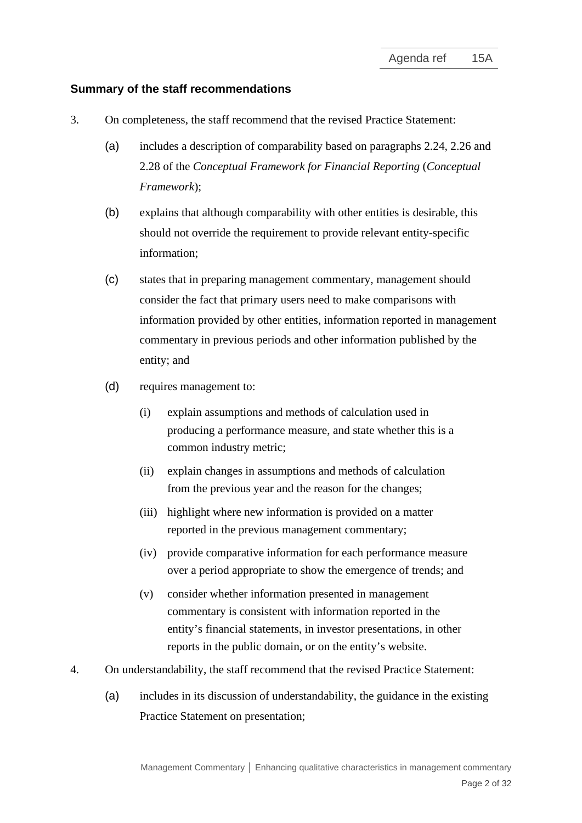## **Summary of the staff recommendations**

- 3. On completeness, the staff recommend that the revised Practice Statement:
	- (a) includes a description of comparability based on paragraphs 2.24, 2.26 and 2.28 of the *Conceptual Framework for Financial Reporting* (*Conceptual Framework*);
	- (b) explains that although comparability with other entities is desirable, this should not override the requirement to provide relevant entity-specific information;
	- (c) states that in preparing management commentary, management should consider the fact that primary users need to make comparisons with information provided by other entities, information reported in management commentary in previous periods and other information published by the entity; and
	- (d) requires management to:
		- (i) explain assumptions and methods of calculation used in producing a performance measure, and state whether this is a common industry metric;
		- (ii) explain changes in assumptions and methods of calculation from the previous year and the reason for the changes;
		- (iii) highlight where new information is provided on a matter reported in the previous management commentary;
		- (iv) provide comparative information for each performance measure over a period appropriate to show the emergence of trends; and
		- (v) consider whether information presented in management commentary is consistent with information reported in the entity's financial statements, in investor presentations, in other reports in the public domain, or on the entity's website.
- 4. On understandability, the staff recommend that the revised Practice Statement:
	- (a) includes in its discussion of understandability, the guidance in the existing Practice Statement on presentation;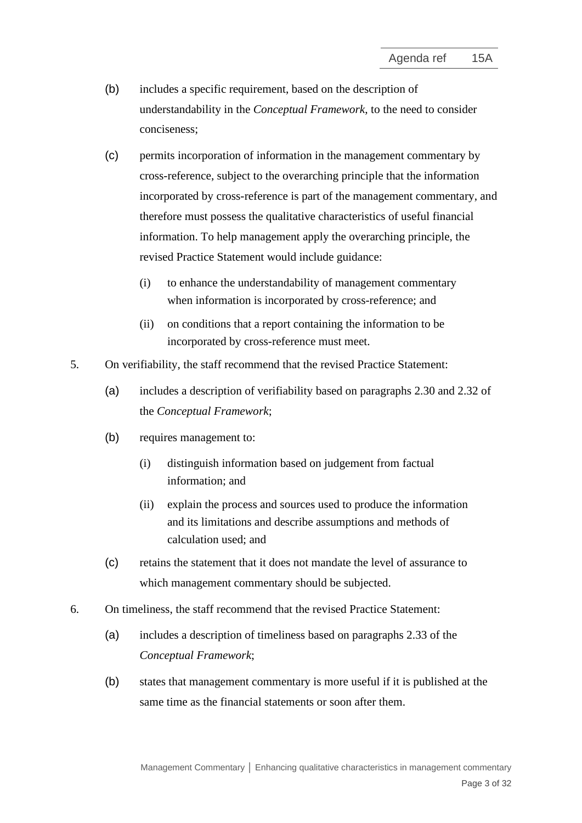- (b) includes a specific requirement, based on the description of understandability in the *Conceptual Framework*, to the need to consider conciseness;
- (c) permits incorporation of information in the management commentary by cross-reference, subject to the overarching principle that the information incorporated by cross-reference is part of the management commentary, and therefore must possess the qualitative characteristics of useful financial information. To help management apply the overarching principle, the revised Practice Statement would include guidance:
	- (i) to enhance the understandability of management commentary when information is incorporated by cross-reference; and
	- (ii) on conditions that a report containing the information to be incorporated by cross-reference must meet.
- 5. On verifiability, the staff recommend that the revised Practice Statement:
	- (a) includes a description of verifiability based on paragraphs 2.30 and 2.32 of the *Conceptual Framework*;
	- (b) requires management to:
		- (i) distinguish information based on judgement from factual information; and
		- (ii) explain the process and sources used to produce the information and its limitations and describe assumptions and methods of calculation used; and
	- (c) retains the statement that it does not mandate the level of assurance to which management commentary should be subjected.
- 6. On timeliness, the staff recommend that the revised Practice Statement:
	- (a) includes a description of timeliness based on paragraphs 2.33 of the *Conceptual Framework*;
	- (b) states that management commentary is more useful if it is published at the same time as the financial statements or soon after them.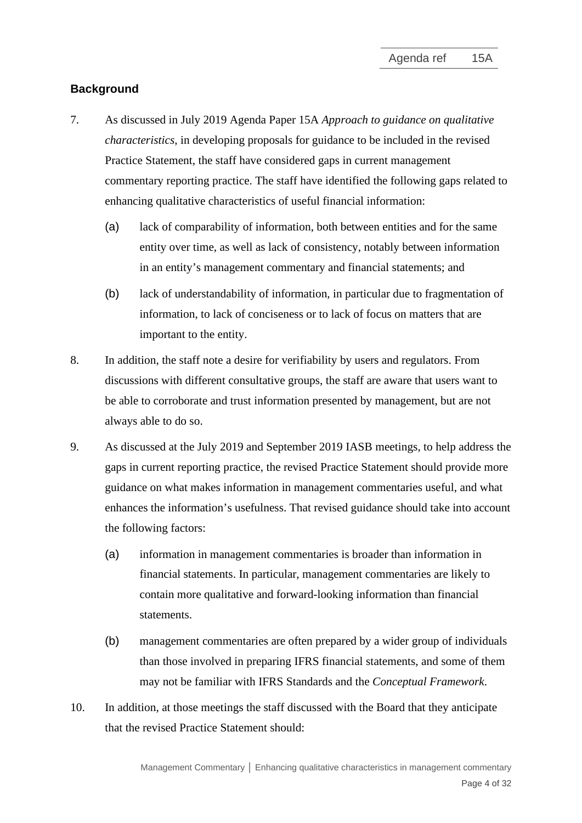# **Background**

- 7. As discussed in July 2019 Agenda Paper 15A *Approach to guidance on qualitative characteristics*, in developing proposals for guidance to be included in the revised Practice Statement, the staff have considered gaps in current management commentary reporting practice. The staff have identified the following gaps related to enhancing qualitative characteristics of useful financial information:
	- (a) lack of comparability of information, both between entities and for the same entity over time, as well as lack of consistency, notably between information in an entity's management commentary and financial statements; and
	- (b) lack of understandability of information, in particular due to fragmentation of information, to lack of conciseness or to lack of focus on matters that are important to the entity.
- <span id="page-3-0"></span>8. In addition, the staff note a desire for verifiability by users and regulators. From discussions with different consultative groups, the staff are aware that users want to be able to corroborate and trust information presented by management, but are not always able to do so.
- 9. As discussed at the July 2019 and September 2019 IASB meetings, to help address the gaps in current reporting practice, the revised Practice Statement should provide more guidance on what makes information in management commentaries useful, and what enhances the information's usefulness. That revised guidance should take into account the following factors:
	- (a) information in management commentaries is broader than information in financial statements. In particular, management commentaries are likely to contain more qualitative and forward-looking information than financial statements.
	- (b) management commentaries are often prepared by a wider group of individuals than those involved in preparing IFRS financial statements, and some of them may not be familiar with IFRS Standards and the *Conceptual Framework*.
- 10. In addition, at those meetings the staff discussed with the Board that they anticipate that the revised Practice Statement should: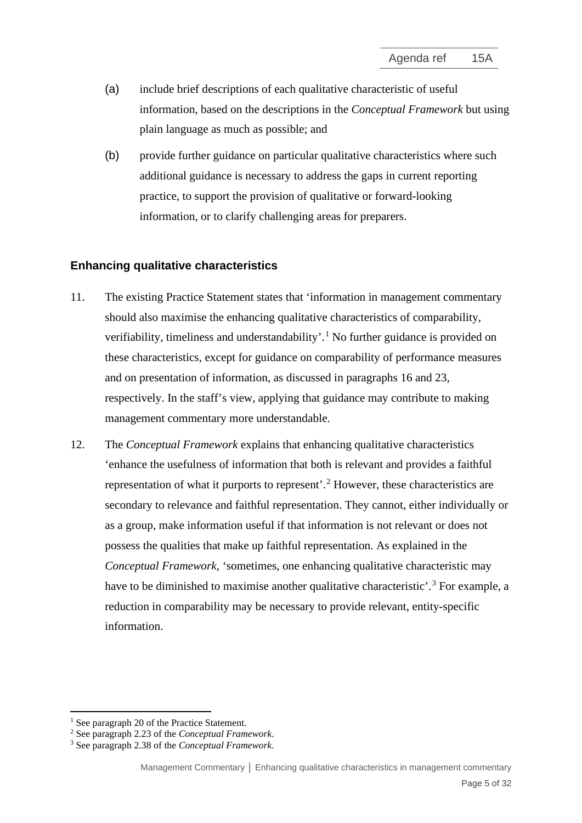- (a) include brief descriptions of each qualitative characteristic of useful information, based on the descriptions in the *Conceptual Framework* but using plain language as much as possible; and
- (b) provide further guidance on particular qualitative characteristics where such additional guidance is necessary to address the gaps in current reporting practice, to support the provision of qualitative or forward-looking information, or to clarify challenging areas for preparers.

## **Enhancing qualitative characteristics**

- 11. The existing Practice Statement states that 'information in management commentary should also maximise the enhancing qualitative characteristics of comparability, verifiability, timeliness and understandability'.<sup>[1](#page-4-0)</sup> No further guidance is provided on these characteristics, except for guidance on comparability of performance measures and on presentation of information, as discussed in paragraphs 16 and 23, respectively. In the staff's view, applying that guidance may contribute to making management commentary more understandable.
- 12. The *Conceptual Framework* explains that enhancing qualitative characteristics 'enhance the usefulness of information that both is relevant and provides a faithful representation of what it purports to represent'.<sup>[2](#page-4-1)</sup> However, these characteristics are secondary to relevance and faithful representation. They cannot, either individually or as a group, make information useful if that information is not relevant or does not possess the qualities that make up faithful representation. As explained in the *Conceptual Framework*, 'sometimes, one enhancing qualitative characteristic may have to be diminished to maximise another qualitative characteristic'.<sup>[3](#page-4-2)</sup> For example, a reduction in comparability may be necessary to provide relevant, entity-specific information.

<sup>&</sup>lt;sup>1</sup> See paragraph 20 of the Practice Statement.

<span id="page-4-1"></span><span id="page-4-0"></span><sup>2</sup> See paragraph 2.23 of the *Conceptual Framework*.

<span id="page-4-2"></span><sup>3</sup> See paragraph 2.38 of the *Conceptual Framework*.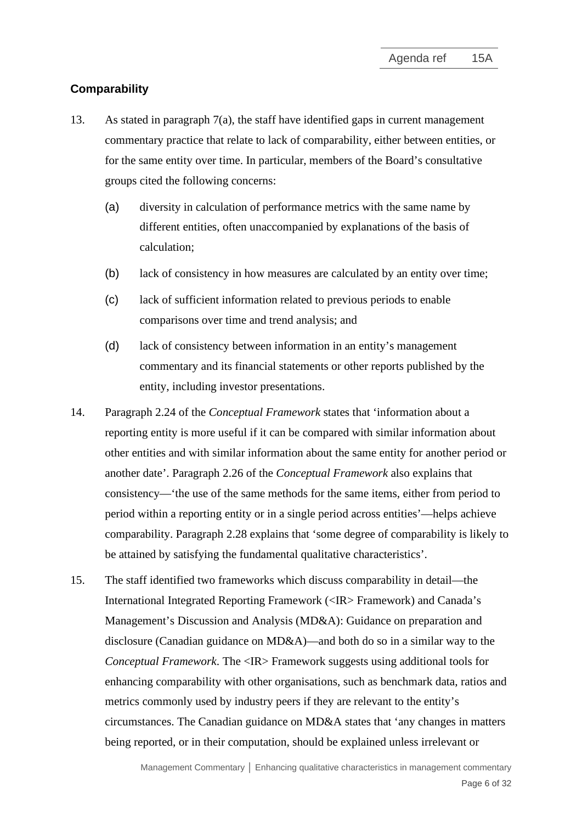### **Comparability**

- 13. As stated in paragraph 7(a), the staff have identified gaps in current management commentary practice that relate to lack of comparability, either between entities, or for the same entity over time. In particular, members of the Board's consultative groups cited the following concerns:
	- (a) diversity in calculation of performance metrics with the same name by different entities, often unaccompanied by explanations of the basis of calculation;
	- (b) lack of consistency in how measures are calculated by an entity over time;
	- (c) lack of sufficient information related to previous periods to enable comparisons over time and trend analysis; and
	- (d) lack of consistency between information in an entity's management commentary and its financial statements or other reports published by the entity, including investor presentations.
- 14. Paragraph 2.24 of the *Conceptual Framework* states that 'information about a reporting entity is more useful if it can be compared with similar information about other entities and with similar information about the same entity for another period or another date'. Paragraph 2.26 of the *Conceptual Framework* also explains that consistency—'the use of the same methods for the same items, either from period to period within a reporting entity or in a single period across entities'—helps achieve comparability. Paragraph 2.28 explains that 'some degree of comparability is likely to be attained by satisfying the fundamental qualitative characteristics'.
- 15. The staff identified two frameworks which discuss comparability in detail—the International Integrated Reporting Framework (<IR> Framework) and Canada's Management's Discussion and Analysis (MD&A): Guidance on preparation and disclosure (Canadian guidance on MD&A)—and both do so in a similar way to the *Conceptual Framework*. The <IR> Framework suggests using additional tools for enhancing comparability with other organisations, such as benchmark data, ratios and metrics commonly used by industry peers if they are relevant to the entity's circumstances. The Canadian guidance on MD&A states that 'any changes in matters being reported, or in their computation, should be explained unless irrelevant or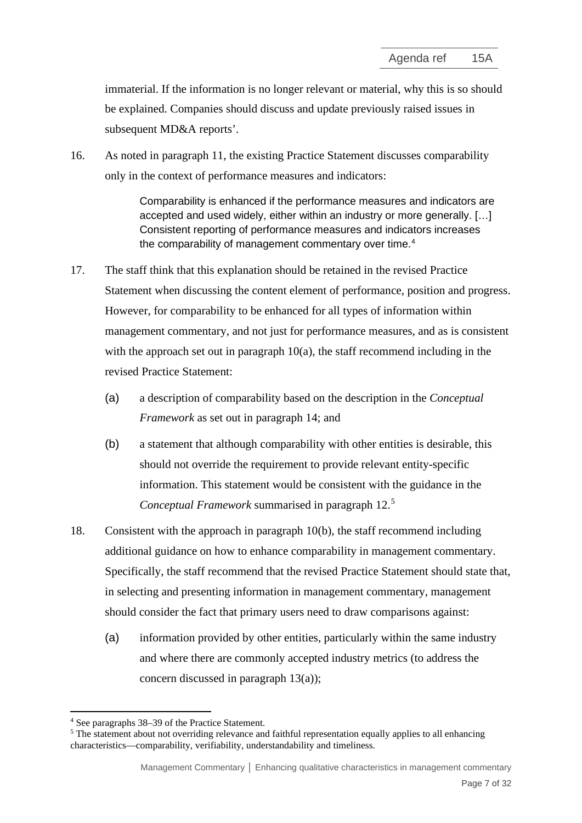immaterial. If the information is no longer relevant or material, why this is so should be explained. Companies should discuss and update previously raised issues in subsequent MD&A reports'.

16. As noted in paragraph 11, the existing Practice Statement discusses comparability only in the context of performance measures and indicators:

> Comparability is enhanced if the performance measures and indicators are accepted and used widely, either within an industry or more generally. […] Consistent reporting of performance measures and indicators increases the comparability of management commentary over time.<sup>[4](#page-6-0)</sup>

- 17. The staff think that this explanation should be retained in the revised Practice Statement when discussing the content element of performance, position and progress. However, for comparability to be enhanced for all types of information within management commentary, and not just for performance measures, and as is consistent with the approach set out in paragraph  $10(a)$ , the staff recommend including in the revised Practice Statement:
	- (a) a description of comparability based on the description in the *Conceptual Framework* as set out in paragraph 14; and
	- (b) a statement that although comparability with other entities is desirable, this should not override the requirement to provide relevant entity-specific information. This statement would be consistent with the guidance in the *Conceptual Framework* summarised in paragraph 12. [5](#page-6-1)
- 18. Consistent with the approach in paragraph 10(b), the staff recommend including additional guidance on how to enhance comparability in management commentary. Specifically, the staff recommend that the revised Practice Statement should state that, in selecting and presenting information in management commentary, management should consider the fact that primary users need to draw comparisons against:
	- (a) information provided by other entities, particularly within the same industry and where there are commonly accepted industry metrics (to address the concern discussed in paragraph 13(a));

<sup>4</sup> See paragraphs 38–39 of the Practice Statement.

<span id="page-6-1"></span><span id="page-6-0"></span><sup>&</sup>lt;sup>5</sup> The statement about not overriding relevance and faithful representation equally applies to all enhancing characteristics—comparability, verifiability, understandability and timeliness.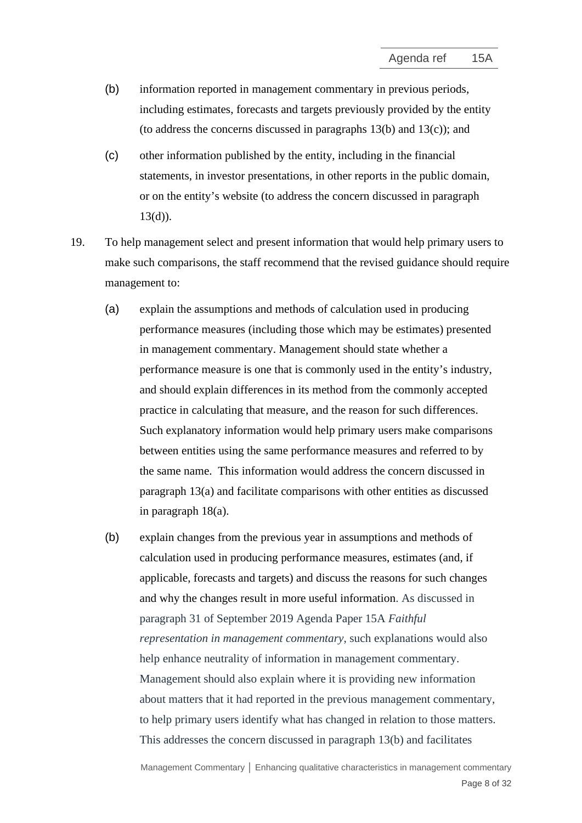- (b) information reported in management commentary in previous periods, including estimates, forecasts and targets previously provided by the entity (to address the concerns discussed in paragraphs 13(b) and 13(c)); and
- (c) other information published by the entity, including in the financial statements, in investor presentations, in other reports in the public domain, or on the entity's website (to address the concern discussed in paragraph 13(d)).
- 19. To help management select and present information that would help primary users to make such comparisons, the staff recommend that the revised guidance should require management to:
	- (a) explain the assumptions and methods of calculation used in producing performance measures (including those which may be estimates) presented in management commentary. Management should state whether a performance measure is one that is commonly used in the entity's industry, and should explain differences in its method from the commonly accepted practice in calculating that measure, and the reason for such differences. Such explanatory information would help primary users make comparisons between entities using the same performance measures and referred to by the same name. This information would address the concern discussed in paragraph 13(a) and facilitate comparisons with other entities as discussed in paragraph 18(a).
	- (b) explain changes from the previous year in assumptions and methods of calculation used in producing performance measures, estimates (and, if applicable, forecasts and targets) and discuss the reasons for such changes and why the changes result in more useful information. As discussed in paragraph 31 of September 2019 Agenda Paper 15A *Faithful representation in management commentary*, such explanations would also help enhance neutrality of information in management commentary. Management should also explain where it is providing new information about matters that it had reported in the previous management commentary, to help primary users identify what has changed in relation to those matters. This addresses the concern discussed in paragraph 13(b) and facilitates

Management Commentary **│** Enhancing qualitative characteristics in management commentary Page 8 of 32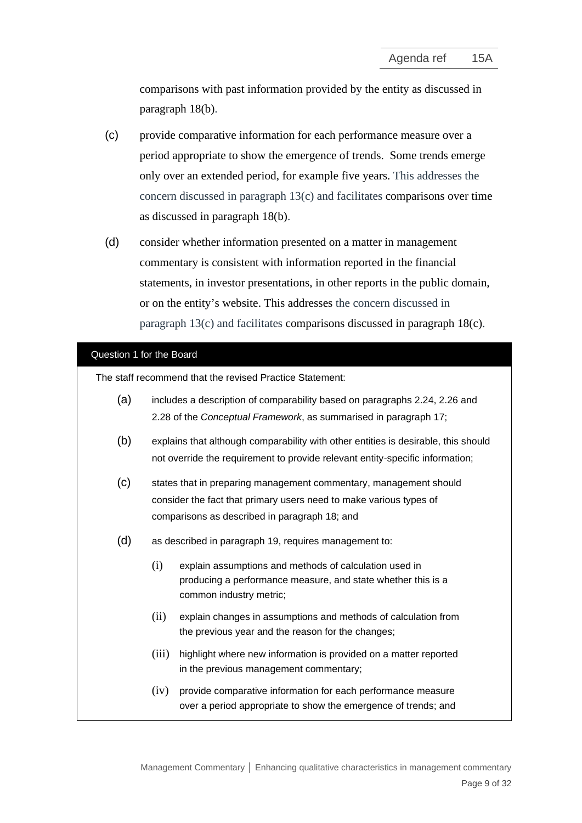comparisons with past information provided by the entity as discussed in paragraph 18(b).

- (c) provide comparative information for each performance measure over a period appropriate to show the emergence of trends. Some trends emerge only over an extended period, for example five years. This addresses the concern discussed in paragraph 13(c) and facilitates comparisons over time as discussed in paragraph 18(b).
- (d) consider whether information presented on a matter in management commentary is consistent with information reported in the financial statements, in investor presentations, in other reports in the public domain, or on the entity's website. This addresses the concern discussed in paragraph 13(c) and facilitates comparisons discussed in paragraph 18(c).

## Question 1 for the Board

The staff recommend that the revised Practice Statement:

| (a) |       | includes a description of comparability based on paragraphs 2.24, 2.26 and<br>2.28 of the Conceptual Framework, as summarised in paragraph 17;                                           |
|-----|-------|------------------------------------------------------------------------------------------------------------------------------------------------------------------------------------------|
| (b) |       | explains that although comparability with other entities is desirable, this should<br>not override the requirement to provide relevant entity-specific information;                      |
| (c) |       | states that in preparing management commentary, management should<br>consider the fact that primary users need to make various types of<br>comparisons as described in paragraph 18; and |
| (d) |       | as described in paragraph 19, requires management to:                                                                                                                                    |
|     | (i)   | explain assumptions and methods of calculation used in<br>producing a performance measure, and state whether this is a<br>common industry metric;                                        |
|     | (ii)  | explain changes in assumptions and methods of calculation from<br>the previous year and the reason for the changes;                                                                      |
|     | (iii) | highlight where new information is provided on a matter reported<br>in the previous management commentary;                                                                               |
|     | (iv)  | provide comparative information for each performance measure<br>over a period appropriate to show the emergence of trends; and                                                           |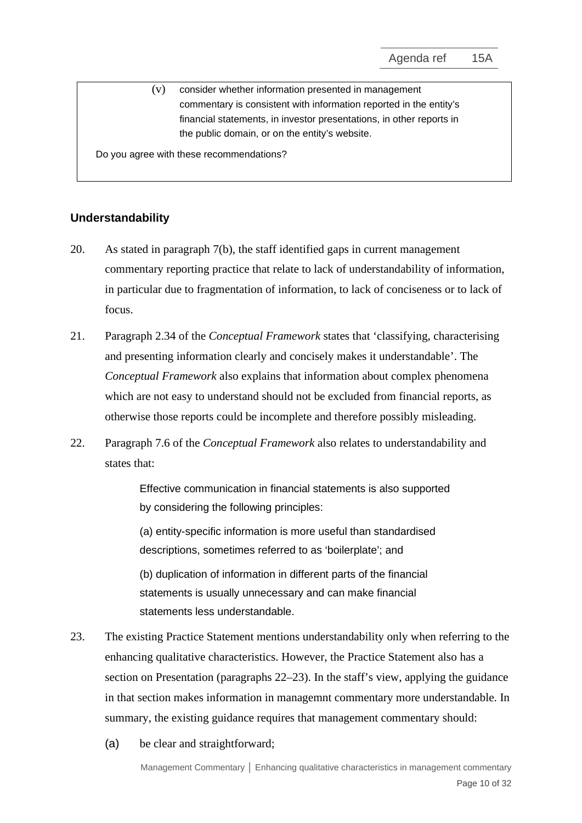(v) consider whether information presented in management commentary is consistent with information reported in the entity's financial statements, in investor presentations, in other reports in the public domain, or on the entity's website.

Do you agree with these recommendations?

# **Understandability**

- 20. As stated in paragraph [7\(b\),](#page-3-0) the staff identified gaps in current management commentary reporting practice that relate to lack of understandability of information, in particular due to fragmentation of information, to lack of conciseness or to lack of focus.
- 21. Paragraph 2.34 of the *Conceptual Framework* states that 'classifying, characterising and presenting information clearly and concisely makes it understandable'. The *Conceptual Framework* also explains that information about complex phenomena which are not easy to understand should not be excluded from financial reports, as otherwise those reports could be incomplete and therefore possibly misleading.
- 22. Paragraph 7.6 of the *Conceptual Framework* also relates to understandability and states that:

Effective communication in financial statements is also supported by considering the following principles:

(a) entity-specific information is more useful than standardised descriptions, sometimes referred to as 'boilerplate'; and

(b) duplication of information in different parts of the financial statements is usually unnecessary and can make financial statements less understandable.

- 23. The existing Practice Statement mentions understandability only when referring to the enhancing qualitative characteristics. However, the Practice Statement also has a section on Presentation (paragraphs 22–23). In the staff's view, applying the guidance in that section makes information in managemnt commentary more understandable. In summary, the existing guidance requires that management commentary should:
	- (a) be clear and straightforward;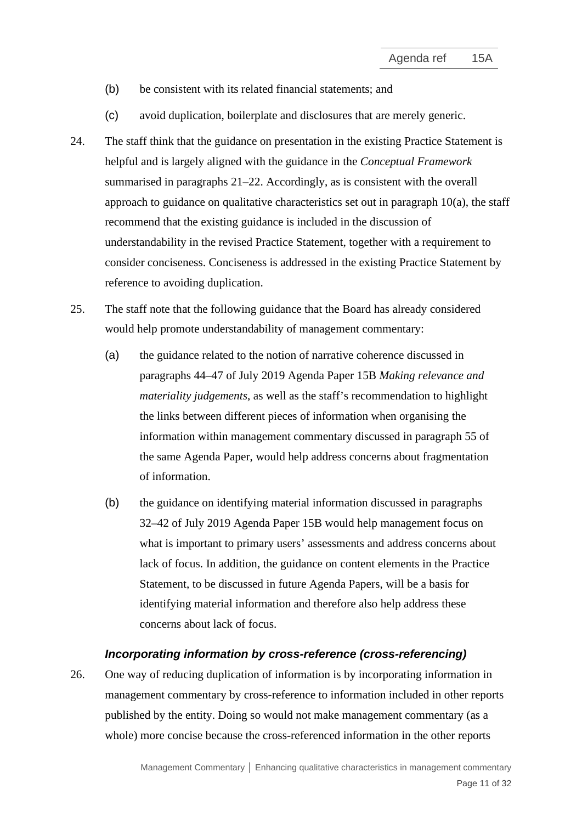- (b) be consistent with its related financial statements; and
- (c) avoid duplication, boilerplate and disclosures that are merely generic.
- 24. The staff think that the guidance on presentation in the existing Practice Statement is helpful and is largely aligned with the guidance in the *Conceptual Framework* summarised in paragraphs 21–22. Accordingly, as is consistent with the overall approach to guidance on qualitative characteristics set out in paragraph  $10(a)$ , the staff recommend that the existing guidance is included in the discussion of understandability in the revised Practice Statement, together with a requirement to consider conciseness. Conciseness is addressed in the existing Practice Statement by reference to avoiding duplication.
- 25. The staff note that the following guidance that the Board has already considered would help promote understandability of management commentary:
	- (a) the guidance related to the notion of narrative coherence discussed in paragraphs 44–47 of July 2019 Agenda Paper 15B *Making relevance and materiality judgements*, as well as the staff's recommendation to highlight the links between different pieces of information when organising the information within management commentary discussed in paragraph 55 of the same Agenda Paper, would help address concerns about fragmentation of information.
	- (b) the guidance on identifying material information discussed in paragraphs 32–42 of July 2019 Agenda Paper 15B would help management focus on what is important to primary users' assessments and address concerns about lack of focus. In addition, the guidance on content elements in the Practice Statement, to be discussed in future Agenda Papers, will be a basis for identifying material information and therefore also help address these concerns about lack of focus.

#### *Incorporating information by cross-reference (cross-referencing)*

26. One way of reducing duplication of information is by incorporating information in management commentary by cross-reference to information included in other reports published by the entity. Doing so would not make management commentary (as a whole) more concise because the cross-referenced information in the other reports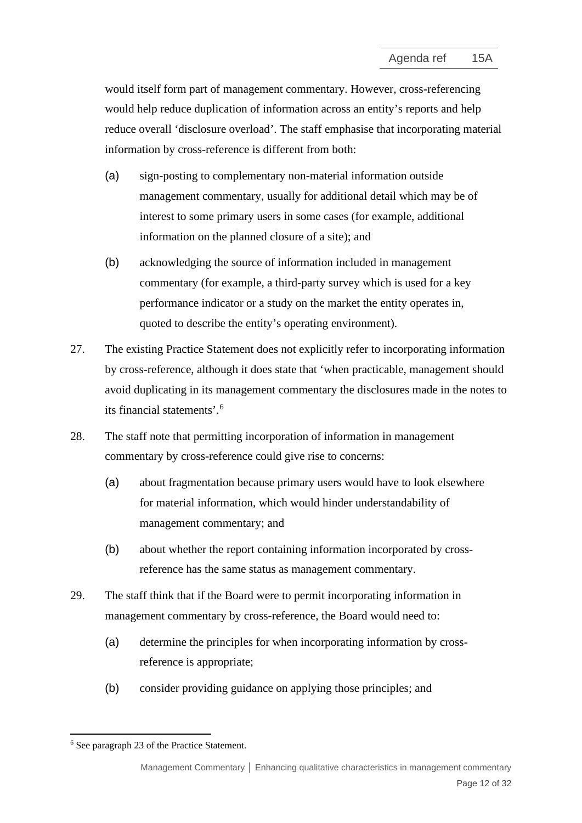would itself form part of management commentary. However, cross-referencing would help reduce duplication of information across an entity's reports and help reduce overall 'disclosure overload'. The staff emphasise that incorporating material information by cross-reference is different from both:

- (a) sign-posting to complementary non-material information outside management commentary, usually for additional detail which may be of interest to some primary users in some cases (for example, additional information on the planned closure of a site); and
- (b) acknowledging the source of information included in management commentary (for example, a third-party survey which is used for a key performance indicator or a study on the market the entity operates in, quoted to describe the entity's operating environment).
- 27. The existing Practice Statement does not explicitly refer to incorporating information by cross-reference, although it does state that 'when practicable, management should avoid duplicating in its management commentary the disclosures made in the notes to its financial statements'.[6](#page-11-0)
- 28. The staff note that permitting incorporation of information in management commentary by cross-reference could give rise to concerns:
	- (a) about fragmentation because primary users would have to look elsewhere for material information, which would hinder understandability of management commentary; and
	- (b) about whether the report containing information incorporated by crossreference has the same status as management commentary.
- 29. The staff think that if the Board were to permit incorporating information in management commentary by cross-reference, the Board would need to:
	- (a) determine the principles for when incorporating information by crossreference is appropriate;
	- (b) consider providing guidance on applying those principles; and

<span id="page-11-0"></span><sup>6</sup> See paragraph 23 of the Practice Statement.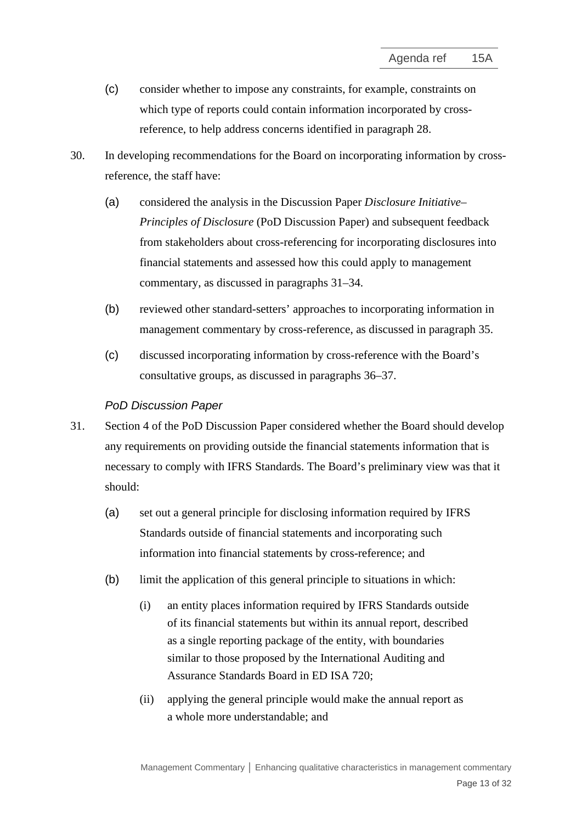- (c) consider whether to impose any constraints, for example, constraints on which type of reports could contain information incorporated by crossreference, to help address concerns identified in paragraph 28.
- 30. In developing recommendations for the Board on incorporating information by crossreference, the staff have:
	- (a) considered the analysis in the Discussion Paper *Disclosure Initiative– Principles of Disclosure* (PoD Discussion Paper) and subsequent feedback from stakeholders about cross-referencing for incorporating disclosures into financial statements and assessed how this could apply to management commentary, as discussed in paragraphs [31–](#page-12-0)[34.](#page-13-0)
	- (b) reviewed other standard-setters' approaches to incorporating information in management commentary by cross-reference, as discussed in paragraph [35.](#page-14-0)
	- (c) discussed incorporating information by cross-reference with the Board's consultative groups, as discussed in paragraphs [36](#page-14-1)[–37.](#page-15-0)

## *PoD Discussion Paper*

- <span id="page-12-0"></span>31. Section 4 of the PoD Discussion Paper considered whether the Board should develop any requirements on providing outside the financial statements information that is necessary to comply with IFRS Standards. The Board's preliminary view was that it should:
	- (a) set out a general principle for disclosing information required by IFRS Standards outside of financial statements and incorporating such information into financial statements by cross-reference; and
	- (b) limit the application of this general principle to situations in which:
		- (i) an entity places information required by IFRS Standards outside of its financial statements but within its annual report, described as a single reporting package of the entity, with boundaries similar to those proposed by the International Auditing and Assurance Standards Board in ED ISA 720;
		- (ii) applying the general principle would make the annual report as a whole more understandable; and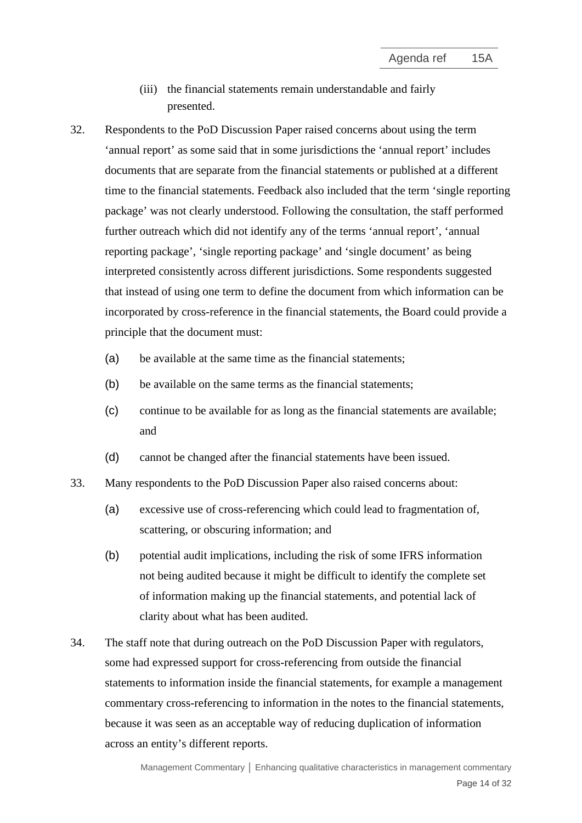- (iii) the financial statements remain understandable and fairly presented.
- 32. Respondents to the PoD Discussion Paper raised concerns about using the term 'annual report' as some said that in some jurisdictions the 'annual report' includes documents that are separate from the financial statements or published at a different time to the financial statements. Feedback also included that the term 'single reporting package' was not clearly understood. Following the consultation, the staff performed further outreach which did not identify any of the terms 'annual report', 'annual reporting package', 'single reporting package' and 'single document' as being interpreted consistently across different jurisdictions. Some respondents suggested that instead of using one term to define the document from which information can be incorporated by cross-reference in the financial statements, the Board could provide a principle that the document must:
	- (a) be available at the same time as the financial statements;
	- (b) be available on the same terms as the financial statements;
	- (c) continue to be available for as long as the financial statements are available; and
	- (d) cannot be changed after the financial statements have been issued.
- 33. Many respondents to the PoD Discussion Paper also raised concerns about:
	- (a) excessive use of cross-referencing which could lead to fragmentation of, scattering, or obscuring information; and
	- (b) potential audit implications, including the risk of some IFRS information not being audited because it might be difficult to identify the complete set of information making up the financial statements, and potential lack of clarity about what has been audited.
- <span id="page-13-0"></span>34. The staff note that during outreach on the PoD Discussion Paper with regulators, some had expressed support for cross-referencing from outside the financial statements to information inside the financial statements, for example a management commentary cross-referencing to information in the notes to the financial statements, because it was seen as an acceptable way of reducing duplication of information across an entity's different reports.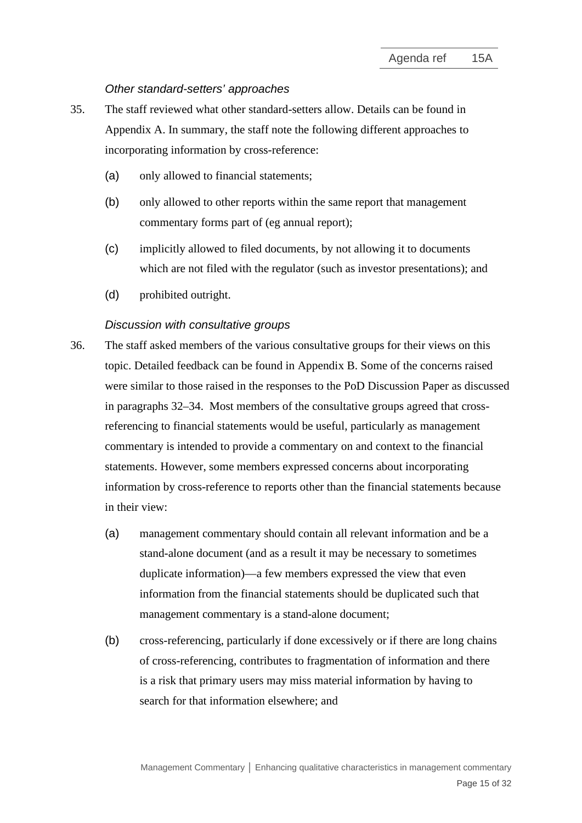#### *Other standard-setters' approaches*

- <span id="page-14-0"></span>35. The staff reviewed what other standard-setters allow. Details can be found in Appendix A. In summary, the staff note the following different approaches to incorporating information by cross-reference:
	- (a) only allowed to financial statements;
	- (b) only allowed to other reports within the same report that management commentary forms part of (eg annual report);
	- (c) implicitly allowed to filed documents, by not allowing it to documents which are not filed with the regulator (such as investor presentations); and
	- (d) prohibited outright.

#### *Discussion with consultative groups*

- <span id="page-14-1"></span>36. The staff asked members of the various consultative groups for their views on this topic. Detailed feedback can be found in Appendix B. Some of the concerns raised were similar to those raised in the responses to the PoD Discussion Paper as discussed in paragraphs 32–34. Most members of the consultative groups agreed that crossreferencing to financial statements would be useful, particularly as management commentary is intended to provide a commentary on and context to the financial statements. However, some members expressed concerns about incorporating information by cross-reference to reports other than the financial statements because in their view:
	- (a) management commentary should contain all relevant information and be a stand-alone document (and as a result it may be necessary to sometimes duplicate information)—a few members expressed the view that even information from the financial statements should be duplicated such that management commentary is a stand-alone document;
	- (b) cross-referencing, particularly if done excessively or if there are long chains of cross-referencing, contributes to fragmentation of information and there is a risk that primary users may miss material information by having to search for that information elsewhere; and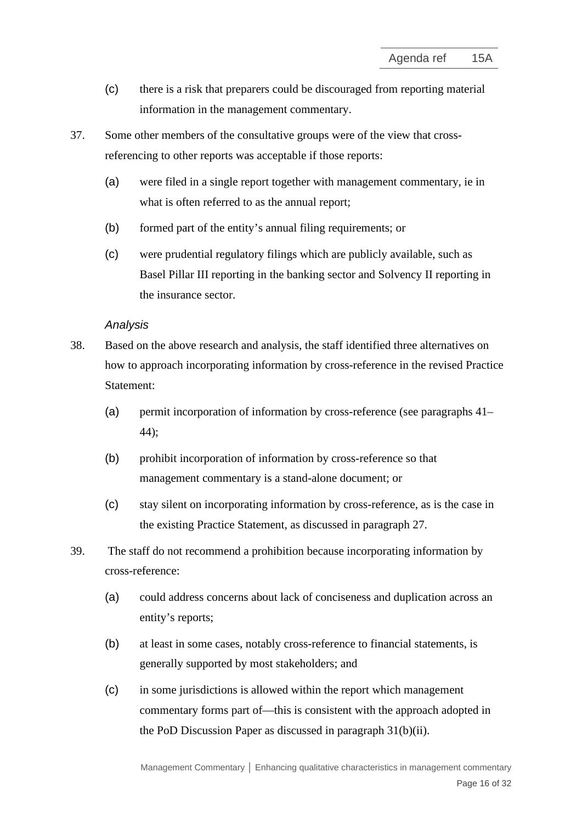- (c) there is a risk that preparers could be discouraged from reporting material information in the management commentary.
- <span id="page-15-0"></span>37. Some other members of the consultative groups were of the view that crossreferencing to other reports was acceptable if those reports:
	- (a) were filed in a single report together with management commentary, ie in what is often referred to as the annual report;
	- (b) formed part of the entity's annual filing requirements; or
	- (c) were prudential regulatory filings which are publicly available, such as Basel Pillar III reporting in the banking sector and Solvency II reporting in the insurance sector.

## *Analysis*

- 38. Based on the above research and analysis, the staff identified three alternatives on how to approach incorporating information by cross-reference in the revised Practice Statement:
	- (a) permit incorporation of information by cross-reference (see paragraphs [41–](#page-16-0) [44\)](#page-17-0);
	- (b) prohibit incorporation of information by cross-reference so that management commentary is a stand-alone document; or
	- (c) stay silent on incorporating information by cross-reference, as is the case in the existing Practice Statement, as discussed in paragraph 27.
- 39. The staff do not recommend a prohibition because incorporating information by cross-reference:
	- (a) could address concerns about lack of conciseness and duplication across an entity's reports;
	- (b) at least in some cases, notably cross-reference to financial statements, is generally supported by most stakeholders; and
	- (c) in some jurisdictions is allowed within the report which management commentary forms part of—this is consistent with the approach adopted in the PoD Discussion Paper as discussed in paragraph 31(b)(ii).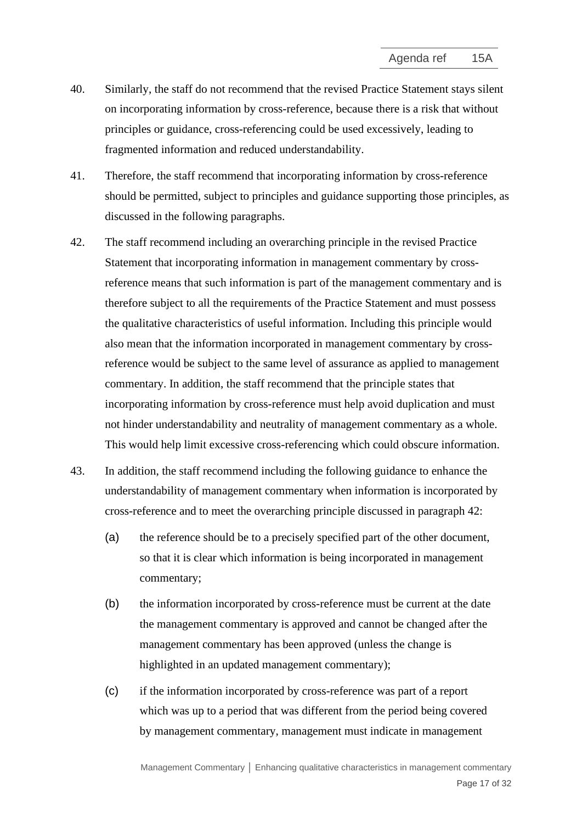- 40. Similarly, the staff do not recommend that the revised Practice Statement stays silent on incorporating information by cross-reference, because there is a risk that without principles or guidance, cross-referencing could be used excessively, leading to fragmented information and reduced understandability.
- <span id="page-16-0"></span>41. Therefore, the staff recommend that incorporating information by cross-reference should be permitted, subject to principles and guidance supporting those principles, as discussed in the following paragraphs.
- <span id="page-16-1"></span>42. The staff recommend including an overarching principle in the revised Practice Statement that incorporating information in management commentary by crossreference means that such information is part of the management commentary and is therefore subject to all the requirements of the Practice Statement and must possess the qualitative characteristics of useful information. Including this principle would also mean that the information incorporated in management commentary by crossreference would be subject to the same level of assurance as applied to management commentary. In addition, the staff recommend that the principle states that incorporating information by cross-reference must help avoid duplication and must not hinder understandability and neutrality of management commentary as a whole. This would help limit excessive cross-referencing which could obscure information.
- 43. In addition, the staff recommend including the following guidance to enhance the understandability of management commentary when information is incorporated by cross-reference and to meet the overarching principle discussed in paragraph 42:
	- (a) the reference should be to a precisely specified part of the other document, so that it is clear which information is being incorporated in management commentary;
	- (b) the information incorporated by cross-reference must be current at the date the management commentary is approved and cannot be changed after the management commentary has been approved (unless the change is highlighted in an updated management commentary);
	- (c) if the information incorporated by cross-reference was part of a report which was up to a period that was different from the period being covered by management commentary, management must indicate in management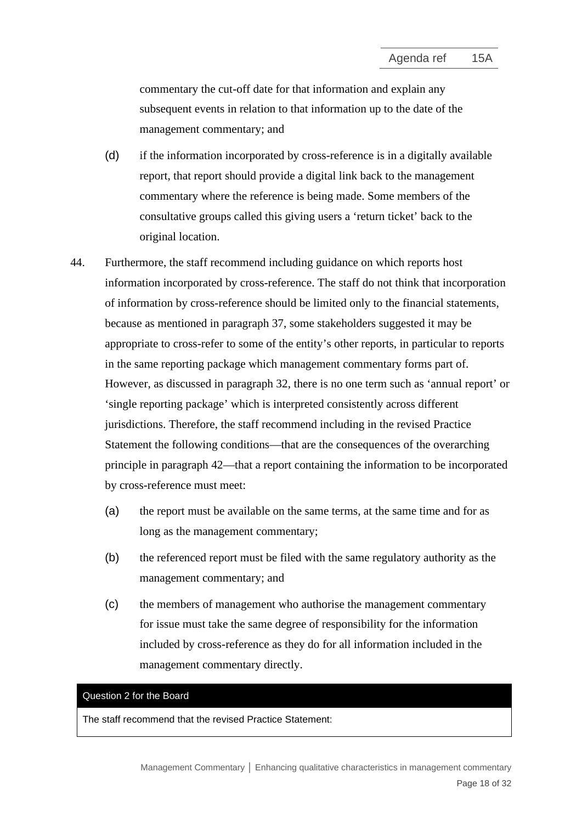commentary the cut-off date for that information and explain any subsequent events in relation to that information up to the date of the management commentary; and

- (d) if the information incorporated by cross-reference is in a digitally available report, that report should provide a digital link back to the management commentary where the reference is being made. Some members of the consultative groups called this giving users a 'return ticket' back to the original location.
- <span id="page-17-0"></span>44. Furthermore, the staff recommend including guidance on which reports host information incorporated by cross-reference. The staff do not think that incorporation of information by cross-reference should be limited only to the financial statements, because as mentioned in paragraph [37,](#page-15-0) some stakeholders suggested it may be appropriate to cross-refer to some of the entity's other reports, in particular to reports in the same reporting package which management commentary forms part of. However, as discussed in paragraph 32, there is no one term such as 'annual report' or 'single reporting package' which is interpreted consistently across different jurisdictions. Therefore, the staff recommend including in the revised Practice Statement the following conditions—that are the consequences of the overarching principle in paragraph [42—](#page-16-1)that a report containing the information to be incorporated by cross-reference must meet:
	- (a) the report must be available on the same terms, at the same time and for as long as the management commentary;
	- (b) the referenced report must be filed with the same regulatory authority as the management commentary; and
	- (c) the members of management who authorise the management commentary for issue must take the same degree of responsibility for the information included by cross-reference as they do for all information included in the management commentary directly.

## Question 2 for the Board

The staff recommend that the revised Practice Statement: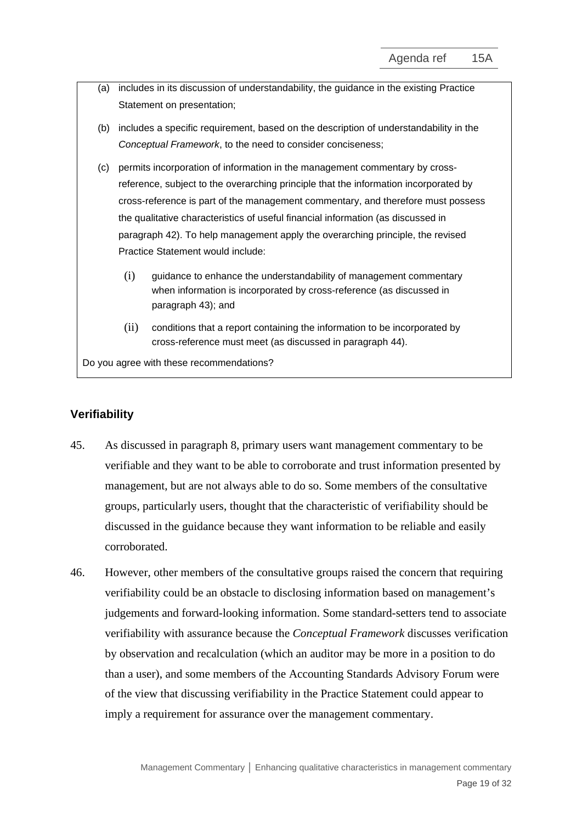- (a) includes in its discussion of understandability, the guidance in the existing Practice Statement on presentation;
- (b) includes a specific requirement, based on the description of understandability in the *Conceptual Framework*, to the need to consider conciseness;
- (c) permits incorporation of information in the management commentary by crossreference, subject to the overarching principle that the information incorporated by cross-reference is part of the management commentary, and therefore must possess the qualitative characteristics of useful financial information (as discussed in paragraph 42). To help management apply the overarching principle, the revised Practice Statement would include:
	- (i) guidance to enhance the understandability of management commentary when information is incorporated by cross-reference (as discussed in paragraph 43); and
	- (ii) conditions that a report containing the information to be incorporated by cross-reference must meet (as discussed in paragraph 44).

Do you agree with these recommendations?

# **Verifiability**

- 45. As discussed in paragraph 8, primary users want management commentary to be verifiable and they want to be able to corroborate and trust information presented by management, but are not always able to do so. Some members of the consultative groups, particularly users, thought that the characteristic of verifiability should be discussed in the guidance because they want information to be reliable and easily corroborated.
- 46. However, other members of the consultative groups raised the concern that requiring verifiability could be an obstacle to disclosing information based on management's judgements and forward-looking information. Some standard-setters tend to associate verifiability with assurance because the *Conceptual Framework* discusses verification by observation and recalculation (which an auditor may be more in a position to do than a user), and some members of the Accounting Standards Advisory Forum were of the view that discussing verifiability in the Practice Statement could appear to imply a requirement for assurance over the management commentary.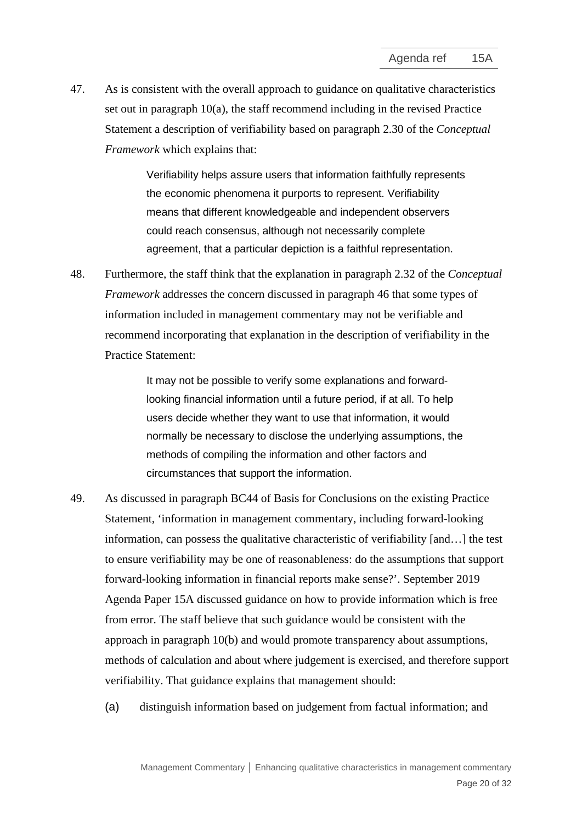47. As is consistent with the overall approach to guidance on qualitative characteristics set out in paragraph 10(a), the staff recommend including in the revised Practice Statement a description of verifiability based on paragraph 2.30 of the *Conceptual Framework* which explains that:

> Verifiability helps assure users that information faithfully represents the economic phenomena it purports to represent. Verifiability means that different knowledgeable and independent observers could reach consensus, although not necessarily complete agreement, that a particular depiction is a faithful representation.

48. Furthermore, the staff think that the explanation in paragraph 2.32 of the *Conceptual Framework* addresses the concern discussed in paragraph 46 that some types of information included in management commentary may not be verifiable and recommend incorporating that explanation in the description of verifiability in the Practice Statement:

> It may not be possible to verify some explanations and forwardlooking financial information until a future period, if at all. To help users decide whether they want to use that information, it would normally be necessary to disclose the underlying assumptions, the methods of compiling the information and other factors and circumstances that support the information.

- 49. As discussed in paragraph BC44 of Basis for Conclusions on the existing Practice Statement, 'information in management commentary, including forward-looking information, can possess the qualitative characteristic of verifiability [and…] the test to ensure verifiability may be one of reasonableness: do the assumptions that support forward-looking information in financial reports make sense?'. September 2019 Agenda Paper 15A discussed guidance on how to provide information which is free from error. The staff believe that such guidance would be consistent with the approach in paragraph 10(b) and would promote transparency about assumptions, methods of calculation and about where judgement is exercised, and therefore support verifiability. That guidance explains that management should:
	- (a) distinguish information based on judgement from factual information; and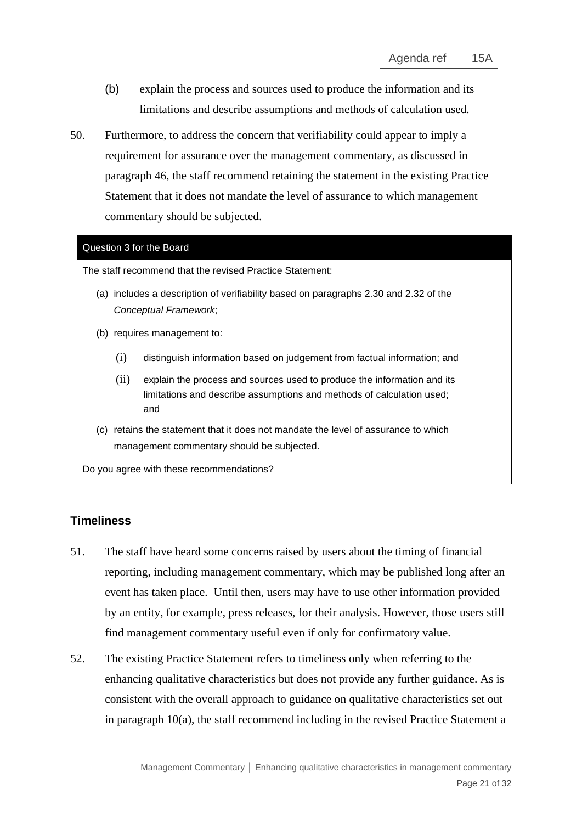- (b) explain the process and sources used to produce the information and its limitations and describe assumptions and methods of calculation used.
- 50. Furthermore, to address the concern that verifiability could appear to imply a requirement for assurance over the management commentary, as discussed in paragraph 46, the staff recommend retaining the statement in the existing Practice Statement that it does not mandate the level of assurance to which management commentary should be subjected.

### Question 3 for the Board

The staff recommend that the revised Practice Statement:

- (a) includes a description of verifiability based on paragraphs 2.30 and 2.32 of the *Conceptual Framework*;
- (b) requires management to:
	- (i) distinguish information based on judgement from factual information; and
	- (ii) explain the process and sources used to produce the information and its limitations and describe assumptions and methods of calculation used; and
- (c) retains the statement that it does not mandate the level of assurance to which management commentary should be subjected.

Do you agree with these recommendations?

# **Timeliness**

- 51. The staff have heard some concerns raised by users about the timing of financial reporting, including management commentary, which may be published long after an event has taken place. Until then, users may have to use other information provided by an entity, for example, press releases, for their analysis. However, those users still find management commentary useful even if only for confirmatory value.
- 52. The existing Practice Statement refers to timeliness only when referring to the enhancing qualitative characteristics but does not provide any further guidance. As is consistent with the overall approach to guidance on qualitative characteristics set out in paragraph 10(a), the staff recommend including in the revised Practice Statement a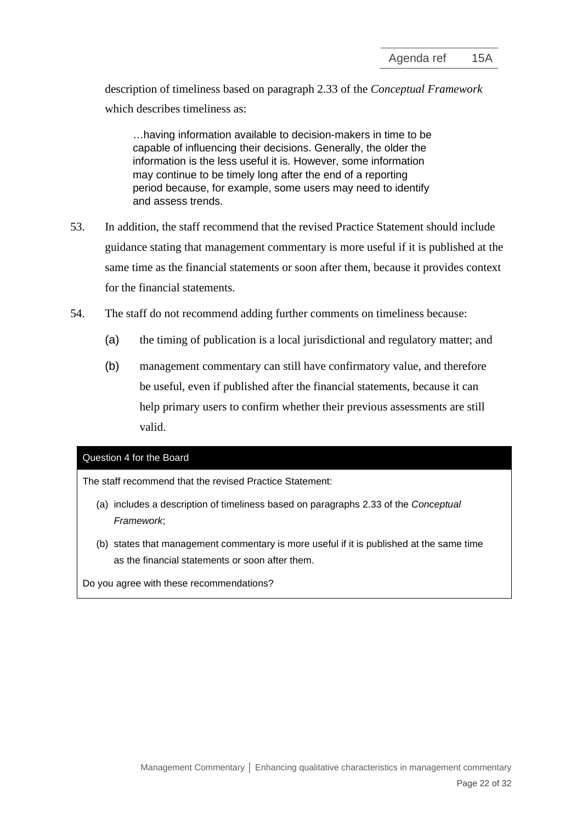description of timeliness based on paragraph 2.33 of the *Conceptual Framework* which describes timeliness as:

…having information available to decision-makers in time to be capable of influencing their decisions. Generally, the older the information is the less useful it is. However, some information may continue to be timely long after the end of a reporting period because, for example, some users may need to identify and assess trends.

- 53. In addition, the staff recommend that the revised Practice Statement should include guidance stating that management commentary is more useful if it is published at the same time as the financial statements or soon after them, because it provides context for the financial statements.
- 54. The staff do not recommend adding further comments on timeliness because:
	- (a) the timing of publication is a local jurisdictional and regulatory matter; and
	- (b) management commentary can still have confirmatory value, and therefore be useful, even if published after the financial statements, because it can help primary users to confirm whether their previous assessments are still valid.

#### Question 4 for the Board

The staff recommend that the revised Practice Statement:

- (a) includes a description of timeliness based on paragraphs 2.33 of the *Conceptual Framework*;
- (b) states that management commentary is more useful if it is published at the same time as the financial statements or soon after them.

Do you agree with these recommendations?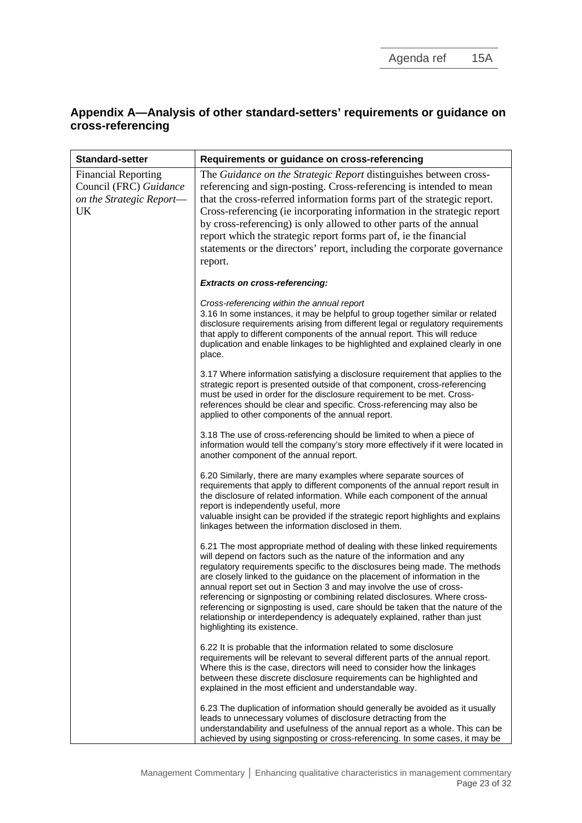# **Appendix A—Analysis of other standard-setters' requirements or guidance on cross-referencing**

| <b>Standard-setter</b>                                                                 | Requirements or guidance on cross-referencing                                                                                                                                                                                                                                                                                                                                                                                                                                                                                                                                                                                                                      |  |
|----------------------------------------------------------------------------------------|--------------------------------------------------------------------------------------------------------------------------------------------------------------------------------------------------------------------------------------------------------------------------------------------------------------------------------------------------------------------------------------------------------------------------------------------------------------------------------------------------------------------------------------------------------------------------------------------------------------------------------------------------------------------|--|
| <b>Financial Reporting</b><br>Council (FRC) Guidance<br>on the Strategic Report-<br>UK | The Guidance on the Strategic Report distinguishes between cross-<br>referencing and sign-posting. Cross-referencing is intended to mean<br>that the cross-referred information forms part of the strategic report.<br>Cross-referencing (ie incorporating information in the strategic report<br>by cross-referencing) is only allowed to other parts of the annual<br>report which the strategic report forms part of, ie the financial<br>statements or the directors' report, including the corporate governance<br>report.                                                                                                                                    |  |
|                                                                                        | <b>Extracts on cross-referencing:</b>                                                                                                                                                                                                                                                                                                                                                                                                                                                                                                                                                                                                                              |  |
|                                                                                        | Cross-referencing within the annual report<br>3.16 In some instances, it may be helpful to group together similar or related<br>disclosure requirements arising from different legal or regulatory requirements<br>that apply to different components of the annual report. This will reduce<br>duplication and enable linkages to be highlighted and explained clearly in one<br>place.                                                                                                                                                                                                                                                                           |  |
|                                                                                        | 3.17 Where information satisfying a disclosure requirement that applies to the<br>strategic report is presented outside of that component, cross-referencing<br>must be used in order for the disclosure requirement to be met. Cross-<br>references should be clear and specific. Cross-referencing may also be<br>applied to other components of the annual report.                                                                                                                                                                                                                                                                                              |  |
|                                                                                        | 3.18 The use of cross-referencing should be limited to when a piece of<br>information would tell the company's story more effectively if it were located in<br>another component of the annual report.                                                                                                                                                                                                                                                                                                                                                                                                                                                             |  |
|                                                                                        | 6.20 Similarly, there are many examples where separate sources of<br>requirements that apply to different components of the annual report result in<br>the disclosure of related information. While each component of the annual<br>report is independently useful, more<br>valuable insight can be provided if the strategic report highlights and explains<br>linkages between the information disclosed in them.                                                                                                                                                                                                                                                |  |
|                                                                                        | 6.21 The most appropriate method of dealing with these linked requirements<br>will depend on factors such as the nature of the information and any<br>regulatory requirements specific to the disclosures being made. The methods<br>are closely linked to the guidance on the placement of information in the<br>annual report set out in Section 3 and may involve the use of cross-<br>referencing or signposting or combining related disclosures. Where cross-<br>referencing or signposting is used, care should be taken that the nature of the<br>relationship or interdependency is adequately explained, rather than just<br>highlighting its existence. |  |
|                                                                                        | 6.22 It is probable that the information related to some disclosure<br>requirements will be relevant to several different parts of the annual report.<br>Where this is the case, directors will need to consider how the linkages<br>between these discrete disclosure requirements can be highlighted and<br>explained in the most efficient and understandable way.                                                                                                                                                                                                                                                                                              |  |
|                                                                                        | 6.23 The duplication of information should generally be avoided as it usually<br>leads to unnecessary volumes of disclosure detracting from the<br>understandability and usefulness of the annual report as a whole. This can be<br>achieved by using signposting or cross-referencing. In some cases, it may be                                                                                                                                                                                                                                                                                                                                                   |  |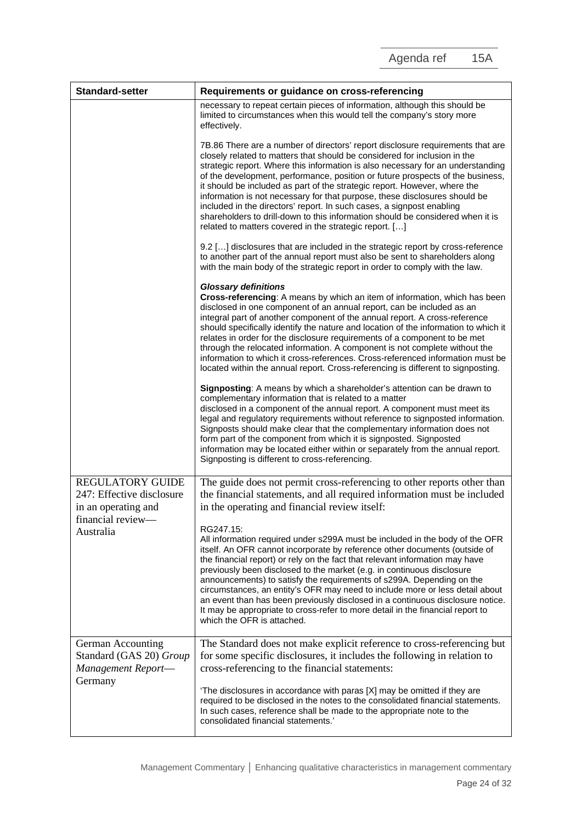| <b>Standard-setter</b>                                                      | Requirements or guidance on cross-referencing                                                                                                                                                                                                                                                                                                                                                                                                                                                                                                                                                                                                                                                                    |  |
|-----------------------------------------------------------------------------|------------------------------------------------------------------------------------------------------------------------------------------------------------------------------------------------------------------------------------------------------------------------------------------------------------------------------------------------------------------------------------------------------------------------------------------------------------------------------------------------------------------------------------------------------------------------------------------------------------------------------------------------------------------------------------------------------------------|--|
|                                                                             | necessary to repeat certain pieces of information, although this should be<br>limited to circumstances when this would tell the company's story more<br>effectively.                                                                                                                                                                                                                                                                                                                                                                                                                                                                                                                                             |  |
|                                                                             | 7B.86 There are a number of directors' report disclosure requirements that are<br>closely related to matters that should be considered for inclusion in the<br>strategic report. Where this information is also necessary for an understanding<br>of the development, performance, position or future prospects of the business,<br>it should be included as part of the strategic report. However, where the<br>information is not necessary for that purpose, these disclosures should be<br>included in the directors' report. In such cases, a signpost enabling<br>shareholders to drill-down to this information should be considered when it is<br>related to matters covered in the strategic report. [] |  |
|                                                                             | 9.2 [] disclosures that are included in the strategic report by cross-reference<br>to another part of the annual report must also be sent to shareholders along<br>with the main body of the strategic report in order to comply with the law.                                                                                                                                                                                                                                                                                                                                                                                                                                                                   |  |
|                                                                             | <b>Glossary definitions</b><br>Cross-referencing: A means by which an item of information, which has been<br>disclosed in one component of an annual report, can be included as an<br>integral part of another component of the annual report. A cross-reference<br>should specifically identify the nature and location of the information to which it<br>relates in order for the disclosure requirements of a component to be met<br>through the relocated information. A component is not complete without the<br>information to which it cross-references. Cross-referenced information must be<br>located within the annual report. Cross-referencing is different to signposting.                         |  |
|                                                                             | Signposting: A means by which a shareholder's attention can be drawn to<br>complementary information that is related to a matter<br>disclosed in a component of the annual report. A component must meet its<br>legal and regulatory requirements without reference to signposted information.<br>Signposts should make clear that the complementary information does not<br>form part of the component from which it is signposted. Signposted<br>information may be located either within or separately from the annual report.<br>Signposting is different to cross-referencing.                                                                                                                              |  |
| <b>REGULATORY GUIDE</b><br>247: Effective disclosure<br>in an operating and | The guide does not permit cross-referencing to other reports other than<br>the financial statements, and all required information must be included<br>in the operating and financial review itself:                                                                                                                                                                                                                                                                                                                                                                                                                                                                                                              |  |
| financial review-<br>Australia                                              | RG247.15:<br>All information required under s299A must be included in the body of the OFR<br>itself. An OFR cannot incorporate by reference other documents (outside of<br>the financial report) or rely on the fact that relevant information may have<br>previously been disclosed to the market (e.g. in continuous disclosure<br>announcements) to satisfy the requirements of s299A. Depending on the<br>circumstances, an entity's OFR may need to include more or less detail about<br>an event than has been previously disclosed in a continuous disclosure notice.<br>It may be appropriate to cross-refer to more detail in the financial report to<br>which the OFR is attached.                     |  |
| German Accounting<br>Standard (GAS 20) Group<br>Management Report-          | The Standard does not make explicit reference to cross-referencing but<br>for some specific disclosures, it includes the following in relation to<br>cross-referencing to the financial statements:                                                                                                                                                                                                                                                                                                                                                                                                                                                                                                              |  |
| Germany                                                                     | 'The disclosures in accordance with paras [X] may be omitted if they are<br>required to be disclosed in the notes to the consolidated financial statements.<br>In such cases, reference shall be made to the appropriate note to the<br>consolidated financial statements.'                                                                                                                                                                                                                                                                                                                                                                                                                                      |  |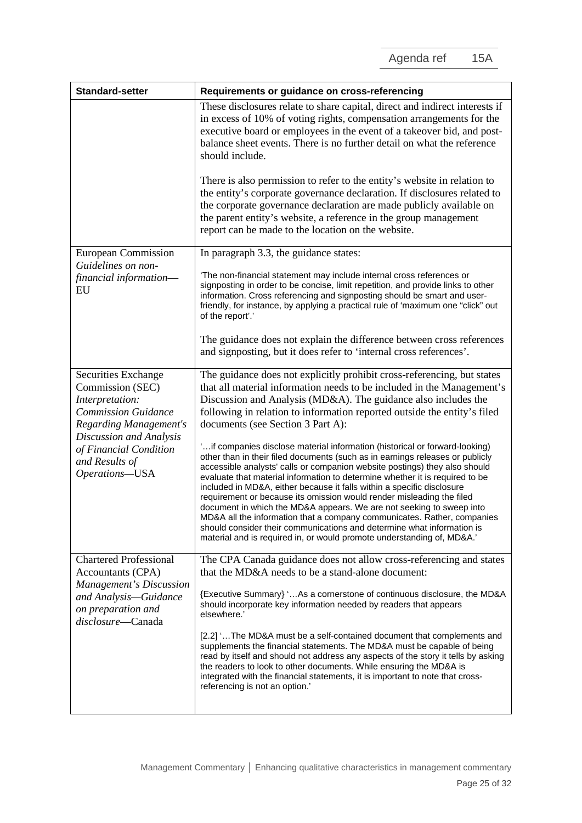| <b>Standard-setter</b>                                                                                             | Requirements or guidance on cross-referencing                                                                                                                                                                                                                                                                                                                                                                                                                                                                                                                                                                                                                                                                                                                                        |
|--------------------------------------------------------------------------------------------------------------------|--------------------------------------------------------------------------------------------------------------------------------------------------------------------------------------------------------------------------------------------------------------------------------------------------------------------------------------------------------------------------------------------------------------------------------------------------------------------------------------------------------------------------------------------------------------------------------------------------------------------------------------------------------------------------------------------------------------------------------------------------------------------------------------|
|                                                                                                                    | These disclosures relate to share capital, direct and indirect interests if<br>in excess of 10% of voting rights, compensation arrangements for the<br>executive board or employees in the event of a takeover bid, and post-<br>balance sheet events. There is no further detail on what the reference<br>should include.                                                                                                                                                                                                                                                                                                                                                                                                                                                           |
|                                                                                                                    | There is also permission to refer to the entity's website in relation to<br>the entity's corporate governance declaration. If disclosures related to<br>the corporate governance declaration are made publicly available on<br>the parent entity's website, a reference in the group management<br>report can be made to the location on the website.                                                                                                                                                                                                                                                                                                                                                                                                                                |
| <b>European Commission</b>                                                                                         | In paragraph 3.3, the guidance states:                                                                                                                                                                                                                                                                                                                                                                                                                                                                                                                                                                                                                                                                                                                                               |
| Guidelines on non-<br>financial information-<br>EU                                                                 | 'The non-financial statement may include internal cross references or<br>signposting in order to be concise, limit repetition, and provide links to other<br>information. Cross referencing and signposting should be smart and user-<br>friendly, for instance, by applying a practical rule of 'maximum one "click" out<br>of the report'.'                                                                                                                                                                                                                                                                                                                                                                                                                                        |
|                                                                                                                    | The guidance does not explain the difference between cross references<br>and signposting, but it does refer to 'internal cross references'.                                                                                                                                                                                                                                                                                                                                                                                                                                                                                                                                                                                                                                          |
| Securities Exchange<br>Commission (SEC)<br>Interpretation:<br><b>Commission Guidance</b><br>Regarding Management's | The guidance does not explicitly prohibit cross-referencing, but states<br>that all material information needs to be included in the Management's<br>Discussion and Analysis (MD&A). The guidance also includes the<br>following in relation to information reported outside the entity's filed<br>documents (see Section 3 Part A):                                                                                                                                                                                                                                                                                                                                                                                                                                                 |
| Discussion and Analysis<br>of Financial Condition<br>and Results of<br>Operations-USA                              | 'if companies disclose material information (historical or forward-looking)<br>other than in their filed documents (such as in earnings releases or publicly<br>accessible analysts' calls or companion website postings) they also should<br>evaluate that material information to determine whether it is required to be<br>included in MD&A, either because it falls within a specific disclosure<br>requirement or because its omission would render misleading the filed<br>document in which the MD&A appears. We are not seeking to sweep into<br>MD&A all the information that a company communicates. Rather, companies<br>should consider their communications and determine what information is<br>material and is required in, or would promote understanding of, MD&A.' |
| <b>Chartered Professional</b><br>Accountants (CPA)                                                                 | The CPA Canada guidance does not allow cross-referencing and states<br>that the MD&A needs to be a stand-alone document:                                                                                                                                                                                                                                                                                                                                                                                                                                                                                                                                                                                                                                                             |
| Management's Discussion<br>and Analysis-Guidance<br>on preparation and<br>disclosure-Canada                        | {Executive Summary} 'As a cornerstone of continuous disclosure, the MD&A<br>should incorporate key information needed by readers that appears<br>elsewhere.'                                                                                                                                                                                                                                                                                                                                                                                                                                                                                                                                                                                                                         |
|                                                                                                                    | [2.2] 'The MD&A must be a self-contained document that complements and<br>supplements the financial statements. The MD&A must be capable of being<br>read by itself and should not address any aspects of the story it tells by asking<br>the readers to look to other documents. While ensuring the MD&A is<br>integrated with the financial statements, it is important to note that cross-<br>referencing is not an option.'                                                                                                                                                                                                                                                                                                                                                      |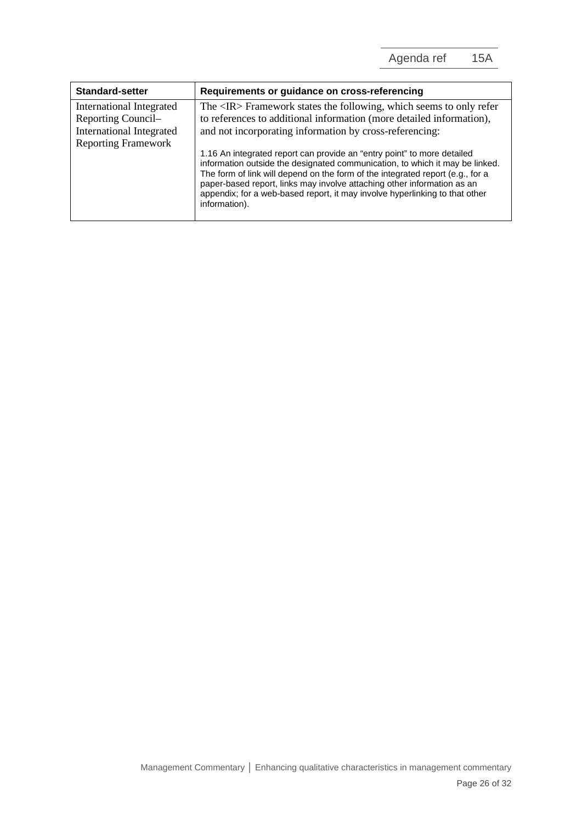| <b>Standard-setter</b>                                                                                   | Requirements or guidance on cross-referencing                                                                                                                                                                                                                                                                                                                                                                                                                |
|----------------------------------------------------------------------------------------------------------|--------------------------------------------------------------------------------------------------------------------------------------------------------------------------------------------------------------------------------------------------------------------------------------------------------------------------------------------------------------------------------------------------------------------------------------------------------------|
| International Integrated<br>Reporting Council-<br>International Integrated<br><b>Reporting Framework</b> | The <ir> Framework states the following, which seems to only refer<br/>to references to additional information (more detailed information),<br/>and not incorporating information by cross-referencing:<br/>1.16 An integrated report can provide an "entry point" to more detailed<br/>information outside the designated communication, to which it may be linked.<br/>The form of link will depend on the form of the integrated report (e.g., for a</ir> |
|                                                                                                          | paper-based report, links may involve attaching other information as an<br>appendix; for a web-based report, it may involve hyperlinking to that other<br>information).                                                                                                                                                                                                                                                                                      |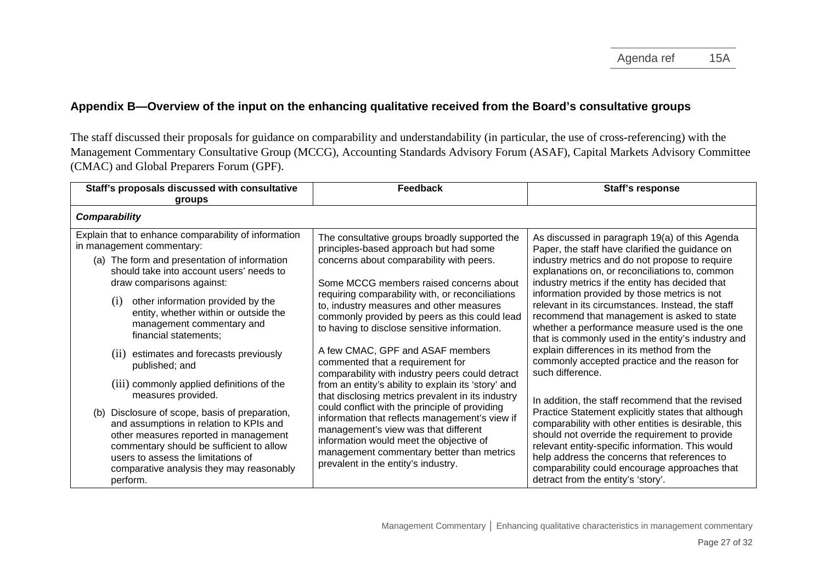# **Appendix B—Overview of the input on the enhancing qualitative received from the Board's consultative groups**

The staff discussed their proposals for guidance on comparability and understandability (in particular, the use of cross-referencing) with the Management Commentary Consultative Group (MCCG), Accounting Standards Advisory Forum (ASAF), Capital Markets Advisory Committee (CMAC) and Global Preparers Forum (GPF).

| Staff's proposals discussed with consultative<br>groups                                                                                                                                                                                                                                                                                                                                                                                                                                                                                                                                                                                                                                                                                                                     | Feedback                                                                                                                                                                                                                                                                                                                                                                                                                                                                                                                                                                                                                                                                                                                                                                                                                                                                                          | Staff's response                                                                                                                                                                                                                                                                                                                                                                                                                                                                                                                                                                                                                                                                                                                                                                                                                                                                                                                                                                                                                                       |
|-----------------------------------------------------------------------------------------------------------------------------------------------------------------------------------------------------------------------------------------------------------------------------------------------------------------------------------------------------------------------------------------------------------------------------------------------------------------------------------------------------------------------------------------------------------------------------------------------------------------------------------------------------------------------------------------------------------------------------------------------------------------------------|---------------------------------------------------------------------------------------------------------------------------------------------------------------------------------------------------------------------------------------------------------------------------------------------------------------------------------------------------------------------------------------------------------------------------------------------------------------------------------------------------------------------------------------------------------------------------------------------------------------------------------------------------------------------------------------------------------------------------------------------------------------------------------------------------------------------------------------------------------------------------------------------------|--------------------------------------------------------------------------------------------------------------------------------------------------------------------------------------------------------------------------------------------------------------------------------------------------------------------------------------------------------------------------------------------------------------------------------------------------------------------------------------------------------------------------------------------------------------------------------------------------------------------------------------------------------------------------------------------------------------------------------------------------------------------------------------------------------------------------------------------------------------------------------------------------------------------------------------------------------------------------------------------------------------------------------------------------------|
| Comparability                                                                                                                                                                                                                                                                                                                                                                                                                                                                                                                                                                                                                                                                                                                                                               |                                                                                                                                                                                                                                                                                                                                                                                                                                                                                                                                                                                                                                                                                                                                                                                                                                                                                                   |                                                                                                                                                                                                                                                                                                                                                                                                                                                                                                                                                                                                                                                                                                                                                                                                                                                                                                                                                                                                                                                        |
| Explain that to enhance comparability of information<br>in management commentary:<br>(a) The form and presentation of information<br>should take into account users' needs to<br>draw comparisons against:<br>other information provided by the<br>(1)<br>entity, whether within or outside the<br>management commentary and<br>financial statements;<br>estimates and forecasts previously<br>(11)<br>published; and<br>(iii) commonly applied definitions of the<br>measures provided.<br>Disclosure of scope, basis of preparation,<br>(b)<br>and assumptions in relation to KPIs and<br>other measures reported in management<br>commentary should be sufficient to allow<br>users to assess the limitations of<br>comparative analysis they may reasonably<br>perform. | The consultative groups broadly supported the<br>principles-based approach but had some<br>concerns about comparability with peers.<br>Some MCCG members raised concerns about<br>requiring comparability with, or reconciliations<br>to, industry measures and other measures<br>commonly provided by peers as this could lead<br>to having to disclose sensitive information.<br>A few CMAC, GPF and ASAF members<br>commented that a requirement for<br>comparability with industry peers could detract<br>from an entity's ability to explain its 'story' and<br>that disclosing metrics prevalent in its industry<br>could conflict with the principle of providing<br>information that reflects management's view if<br>management's view was that different<br>information would meet the objective of<br>management commentary better than metrics<br>prevalent in the entity's industry. | As discussed in paragraph 19(a) of this Agenda<br>Paper, the staff have clarified the guidance on<br>industry metrics and do not propose to require<br>explanations on, or reconciliations to, common<br>industry metrics if the entity has decided that<br>information provided by those metrics is not<br>relevant in its circumstances. Instead, the staff<br>recommend that management is asked to state<br>whether a performance measure used is the one<br>that is commonly used in the entity's industry and<br>explain differences in its method from the<br>commonly accepted practice and the reason for<br>such difference.<br>In addition, the staff recommend that the revised<br>Practice Statement explicitly states that although<br>comparability with other entities is desirable, this<br>should not override the requirement to provide<br>relevant entity-specific information. This would<br>help address the concerns that references to<br>comparability could encourage approaches that<br>detract from the entity's 'story'. |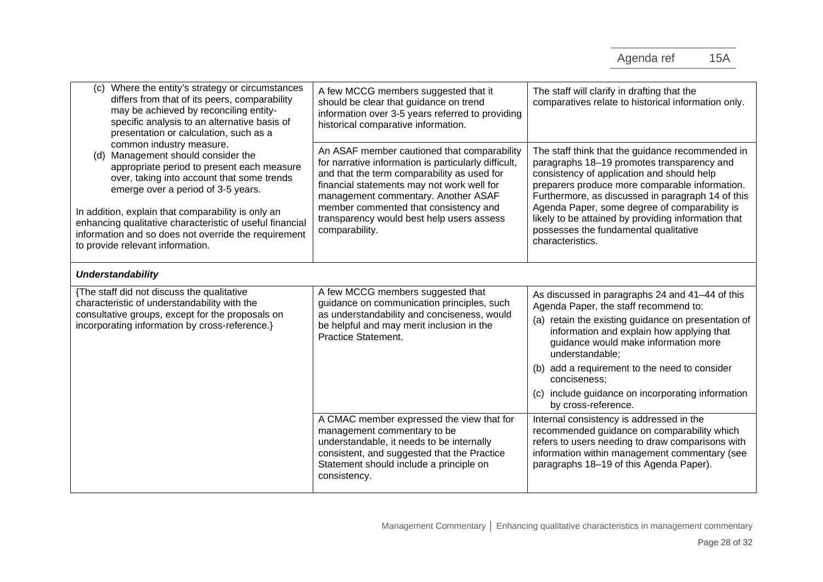| (c) Where the entity's strategy or circumstances<br>differs from that of its peers, comparability<br>may be achieved by reconciling entity-<br>specific analysis to an alternative basis of<br>presentation or calculation, such as a                                                                                                                                                                          | A few MCCG members suggested that it<br>should be clear that guidance on trend<br>information over 3-5 years referred to providing<br>historical comparative information.                                                                                                                                                                       | The staff will clarify in drafting that the<br>comparatives relate to historical information only.                                                                                                                                                                                                                                                                                                                       |
|----------------------------------------------------------------------------------------------------------------------------------------------------------------------------------------------------------------------------------------------------------------------------------------------------------------------------------------------------------------------------------------------------------------|-------------------------------------------------------------------------------------------------------------------------------------------------------------------------------------------------------------------------------------------------------------------------------------------------------------------------------------------------|--------------------------------------------------------------------------------------------------------------------------------------------------------------------------------------------------------------------------------------------------------------------------------------------------------------------------------------------------------------------------------------------------------------------------|
| common industry measure.<br>(d) Management should consider the<br>appropriate period to present each measure<br>over, taking into account that some trends<br>emerge over a period of 3-5 years.<br>In addition, explain that comparability is only an<br>enhancing qualitative characteristic of useful financial<br>information and so does not override the requirement<br>to provide relevant information. | An ASAF member cautioned that comparability<br>for narrative information is particularly difficult,<br>and that the term comparability as used for<br>financial statements may not work well for<br>management commentary. Another ASAF<br>member commented that consistency and<br>transparency would best help users assess<br>comparability. | The staff think that the guidance recommended in<br>paragraphs 18-19 promotes transparency and<br>consistency of application and should help<br>preparers produce more comparable information.<br>Furthermore, as discussed in paragraph 14 of this<br>Agenda Paper, some degree of comparability is<br>likely to be attained by providing information that<br>possesses the fundamental qualitative<br>characteristics. |
| <b>Understandability</b>                                                                                                                                                                                                                                                                                                                                                                                       |                                                                                                                                                                                                                                                                                                                                                 |                                                                                                                                                                                                                                                                                                                                                                                                                          |
| {The staff did not discuss the qualitative<br>characteristic of understandability with the<br>consultative groups, except for the proposals on<br>incorporating information by cross-reference.}                                                                                                                                                                                                               | A few MCCG members suggested that<br>guidance on communication principles, such<br>as understandability and conciseness, would<br>be helpful and may merit inclusion in the<br><b>Practice Statement.</b>                                                                                                                                       | As discussed in paragraphs 24 and 41-44 of this<br>Agenda Paper, the staff recommend to:<br>(a) retain the existing guidance on presentation of<br>information and explain how applying that<br>guidance would make information more<br>understandable;<br>(b) add a requirement to the need to consider<br>conciseness:<br>(c) include guidance on incorporating information<br>by cross-reference.                     |
|                                                                                                                                                                                                                                                                                                                                                                                                                | A CMAC member expressed the view that for<br>management commentary to be<br>understandable, it needs to be internally<br>consistent, and suggested that the Practice<br>Statement should include a principle on<br>consistency.                                                                                                                 | Internal consistency is addressed in the<br>recommended guidance on comparability which<br>refers to users needing to draw comparisons with<br>information within management commentary (see<br>paragraphs 18-19 of this Agenda Paper).                                                                                                                                                                                  |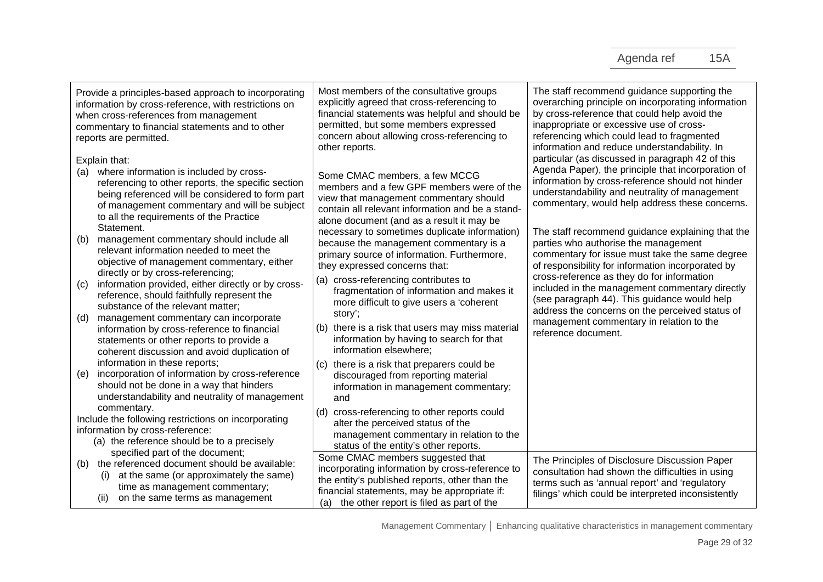| Provide a principles-based approach to incorporating<br>information by cross-reference, with restrictions on<br>when cross-references from management<br>commentary to financial statements and to other<br>reports are permitted.                                                 | Most members of the consultative groups<br>explicitly agreed that cross-referencing to<br>financial statements was helpful and should be<br>permitted, but some members expressed<br>concern about allowing cross-referencing to<br>other reports. | The staff recommend guidance supporting the<br>overarching principle on incorporating information<br>by cross-reference that could help avoid the<br>inappropriate or excessive use of cross-<br>referencing which could lead to fragmented<br>information and reduce understandability. In |
|------------------------------------------------------------------------------------------------------------------------------------------------------------------------------------------------------------------------------------------------------------------------------------|----------------------------------------------------------------------------------------------------------------------------------------------------------------------------------------------------------------------------------------------------|---------------------------------------------------------------------------------------------------------------------------------------------------------------------------------------------------------------------------------------------------------------------------------------------|
| Explain that:<br>where information is included by cross-<br>(a)<br>referencing to other reports, the specific section<br>being referenced will be considered to form part<br>of management commentary and will be subject<br>to all the requirements of the Practice<br>Statement. | Some CMAC members, a few MCCG<br>members and a few GPF members were of the<br>view that management commentary should<br>contain all relevant information and be a stand-<br>alone document (and as a result it may be                              | particular (as discussed in paragraph 42 of this<br>Agenda Paper), the principle that incorporation of<br>information by cross-reference should not hinder<br>understandability and neutrality of management<br>commentary, would help address these concerns.                              |
| management commentary should include all<br>(b)<br>relevant information needed to meet the<br>objective of management commentary, either                                                                                                                                           | necessary to sometimes duplicate information)<br>because the management commentary is a<br>primary source of information. Furthermore,<br>they expressed concerns that:                                                                            | The staff recommend guidance explaining that the<br>parties who authorise the management<br>commentary for issue must take the same degree<br>of responsibility for information incorporated by                                                                                             |
| directly or by cross-referencing;<br>information provided, either directly or by cross-<br>(C)<br>reference, should faithfully represent the<br>substance of the relevant matter;                                                                                                  | cross-referencing contributes to<br>(a)<br>fragmentation of information and makes it<br>more difficult to give users a 'coherent<br>story';                                                                                                        | cross-reference as they do for information<br>included in the management commentary directly<br>(see paragraph 44). This guidance would help<br>address the concerns on the perceived status of                                                                                             |
| management commentary can incorporate<br>(d)<br>information by cross-reference to financial<br>statements or other reports to provide a<br>coherent discussion and avoid duplication of                                                                                            | there is a risk that users may miss material<br>(b)<br>information by having to search for that<br>information elsewhere;                                                                                                                          | management commentary in relation to the<br>reference document.                                                                                                                                                                                                                             |
| information in these reports;<br>incorporation of information by cross-reference<br>(e)<br>should not be done in a way that hinders<br>understandability and neutrality of management                                                                                              | there is a risk that preparers could be<br>(C)<br>discouraged from reporting material<br>information in management commentary;<br>and                                                                                                              |                                                                                                                                                                                                                                                                                             |
| commentary.<br>Include the following restrictions on incorporating<br>information by cross-reference:<br>(a) the reference should be to a precisely                                                                                                                                | cross-referencing to other reports could<br>(d)<br>alter the perceived status of the<br>management commentary in relation to the<br>status of the entity's other reports.                                                                          |                                                                                                                                                                                                                                                                                             |
| specified part of the document;<br>the referenced document should be available:<br>(b)<br>at the same (or approximately the same)<br>(i)<br>time as management commentary;<br>on the same terms as management<br>(ii)                                                              | Some CMAC members suggested that<br>incorporating information by cross-reference to<br>the entity's published reports, other than the<br>financial statements, may be appropriate if:<br>the other report is filed as part of the<br>(a)           | The Principles of Disclosure Discussion Paper<br>consultation had shown the difficulties in using<br>terms such as 'annual report' and 'regulatory<br>filings' which could be interpreted inconsistently                                                                                    |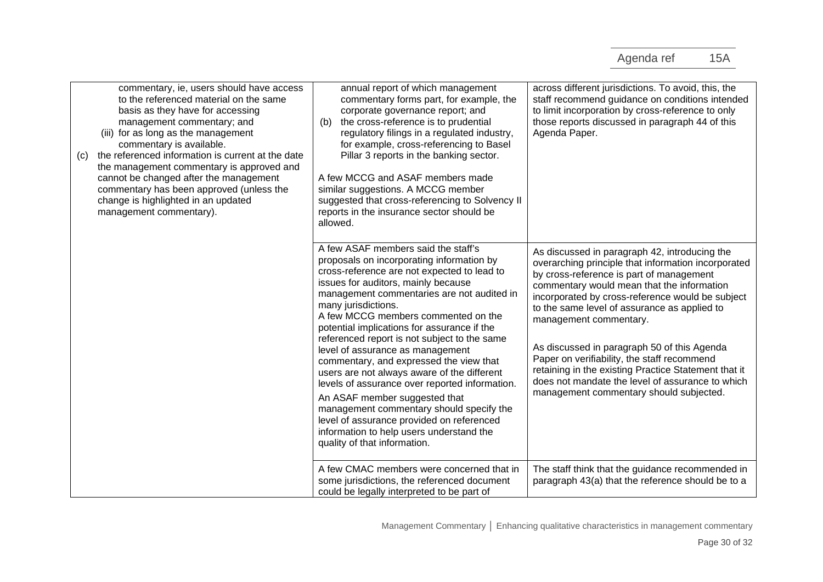| commentary, ie, users should have access<br>to the referenced material on the same<br>basis as they have for accessing<br>management commentary; and<br>(iii) for as long as the management<br>commentary is available.<br>the referenced information is current at the date<br>(c)<br>the management commentary is approved and<br>cannot be changed after the management<br>commentary has been approved (unless the<br>change is highlighted in an updated<br>management commentary). | annual report of which management<br>commentary forms part, for example, the<br>corporate governance report; and<br>the cross-reference is to prudential<br>(b)<br>regulatory filings in a regulated industry,<br>for example, cross-referencing to Basel<br>Pillar 3 reports in the banking sector.<br>A few MCCG and ASAF members made<br>similar suggestions. A MCCG member<br>suggested that cross-referencing to Solvency II<br>reports in the insurance sector should be<br>allowed.                                                                                                                                                                                                                                                                              | across different jurisdictions. To avoid, this, the<br>staff recommend guidance on conditions intended<br>to limit incorporation by cross-reference to only<br>those reports discussed in paragraph 44 of this<br>Agenda Paper.                                                                                                                                                                                                                                                                                                                                                   |
|------------------------------------------------------------------------------------------------------------------------------------------------------------------------------------------------------------------------------------------------------------------------------------------------------------------------------------------------------------------------------------------------------------------------------------------------------------------------------------------|-------------------------------------------------------------------------------------------------------------------------------------------------------------------------------------------------------------------------------------------------------------------------------------------------------------------------------------------------------------------------------------------------------------------------------------------------------------------------------------------------------------------------------------------------------------------------------------------------------------------------------------------------------------------------------------------------------------------------------------------------------------------------|-----------------------------------------------------------------------------------------------------------------------------------------------------------------------------------------------------------------------------------------------------------------------------------------------------------------------------------------------------------------------------------------------------------------------------------------------------------------------------------------------------------------------------------------------------------------------------------|
|                                                                                                                                                                                                                                                                                                                                                                                                                                                                                          | A few ASAF members said the staff's<br>proposals on incorporating information by<br>cross-reference are not expected to lead to<br>issues for auditors, mainly because<br>management commentaries are not audited in<br>many jurisdictions.<br>A few MCCG members commented on the<br>potential implications for assurance if the<br>referenced report is not subject to the same<br>level of assurance as management<br>commentary, and expressed the view that<br>users are not always aware of the different<br>levels of assurance over reported information.<br>An ASAF member suggested that<br>management commentary should specify the<br>level of assurance provided on referenced<br>information to help users understand the<br>quality of that information. | As discussed in paragraph 42, introducing the<br>overarching principle that information incorporated<br>by cross-reference is part of management<br>commentary would mean that the information<br>incorporated by cross-reference would be subject<br>to the same level of assurance as applied to<br>management commentary.<br>As discussed in paragraph 50 of this Agenda<br>Paper on verifiability, the staff recommend<br>retaining in the existing Practice Statement that it<br>does not mandate the level of assurance to which<br>management commentary should subjected. |
|                                                                                                                                                                                                                                                                                                                                                                                                                                                                                          | A few CMAC members were concerned that in<br>some jurisdictions, the referenced document<br>could be legally interpreted to be part of                                                                                                                                                                                                                                                                                                                                                                                                                                                                                                                                                                                                                                  | The staff think that the guidance recommended in<br>paragraph 43(a) that the reference should be to a                                                                                                                                                                                                                                                                                                                                                                                                                                                                             |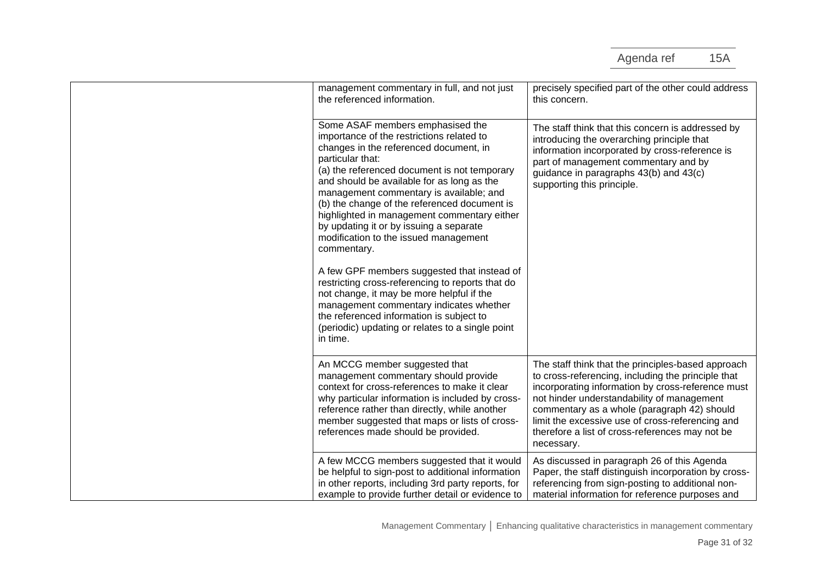| management commentary in full, and not just<br>the referenced information.                                                                                                                                                                                                                                                                                                                                                                                                                                                                                                                                                                                                                                                                                                                    | precisely specified part of the other could address<br>this concern.                                                                                                                                                                                                                                                                                                            |
|-----------------------------------------------------------------------------------------------------------------------------------------------------------------------------------------------------------------------------------------------------------------------------------------------------------------------------------------------------------------------------------------------------------------------------------------------------------------------------------------------------------------------------------------------------------------------------------------------------------------------------------------------------------------------------------------------------------------------------------------------------------------------------------------------|---------------------------------------------------------------------------------------------------------------------------------------------------------------------------------------------------------------------------------------------------------------------------------------------------------------------------------------------------------------------------------|
| Some ASAF members emphasised the<br>importance of the restrictions related to<br>changes in the referenced document, in<br>particular that:<br>(a) the referenced document is not temporary<br>and should be available for as long as the<br>management commentary is available; and<br>(b) the change of the referenced document is<br>highlighted in management commentary either<br>by updating it or by issuing a separate<br>modification to the issued management<br>commentary.<br>A few GPF members suggested that instead of<br>restricting cross-referencing to reports that do<br>not change, it may be more helpful if the<br>management commentary indicates whether<br>the referenced information is subject to<br>(periodic) updating or relates to a single point<br>in time. | The staff think that this concern is addressed by<br>introducing the overarching principle that<br>information incorporated by cross-reference is<br>part of management commentary and by<br>guidance in paragraphs 43(b) and 43(c)<br>supporting this principle.                                                                                                               |
| An MCCG member suggested that<br>management commentary should provide<br>context for cross-references to make it clear<br>why particular information is included by cross-<br>reference rather than directly, while another<br>member suggested that maps or lists of cross-<br>references made should be provided.                                                                                                                                                                                                                                                                                                                                                                                                                                                                           | The staff think that the principles-based approach<br>to cross-referencing, including the principle that<br>incorporating information by cross-reference must<br>not hinder understandability of management<br>commentary as a whole (paragraph 42) should<br>limit the excessive use of cross-referencing and<br>therefore a list of cross-references may not be<br>necessary. |
| A few MCCG members suggested that it would<br>be helpful to sign-post to additional information<br>in other reports, including 3rd party reports, for<br>example to provide further detail or evidence to                                                                                                                                                                                                                                                                                                                                                                                                                                                                                                                                                                                     | As discussed in paragraph 26 of this Agenda<br>Paper, the staff distinguish incorporation by cross-<br>referencing from sign-posting to additional non-<br>material information for reference purposes and                                                                                                                                                                      |